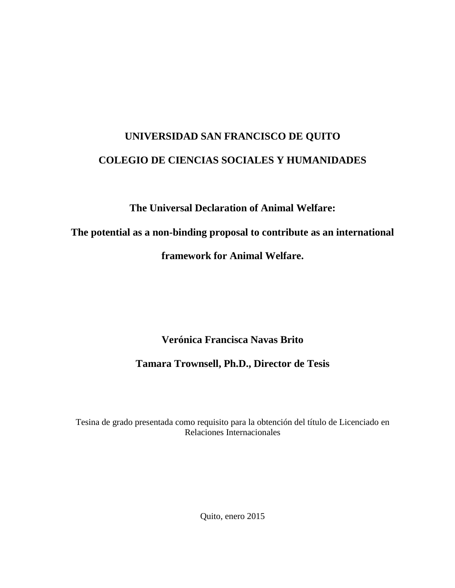# **UNIVERSIDAD SAN FRANCISCO DE QUITO COLEGIO DE CIENCIAS SOCIALES Y HUMANIDADES**

**The Universal Declaration of Animal Welfare:**

**The potential as a non-binding proposal to contribute as an international** 

**framework for Animal Welfare.**

**Verónica Francisca Navas Brito**

**Tamara Trownsell, Ph.D., Director de Tesis**

Tesina de grado presentada como requisito para la obtención del título de Licenciado en Relaciones Internacionales

Quito, enero 2015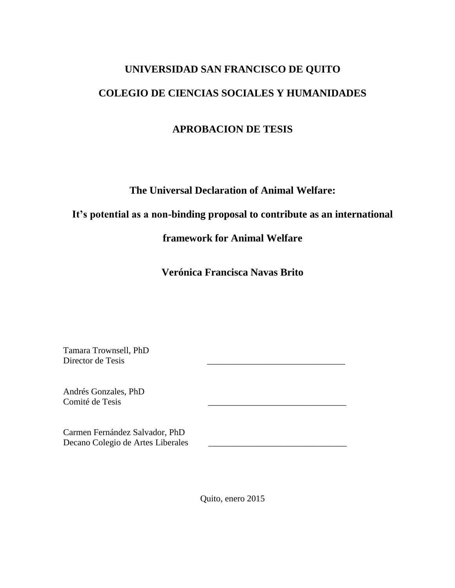# **UNIVERSIDAD SAN FRANCISCO DE QUITO COLEGIO DE CIENCIAS SOCIALES Y HUMANIDADES**

# **APROBACION DE TESIS**

**The Universal Declaration of Animal Welfare:**

# **It's potential as a non-binding proposal to contribute as an international**

**framework for Animal Welfare**

**Verónica Francisca Navas Brito**

Tamara Trownsell, PhD Director de Tesis

Andrés Gonzales, PhD Comité de Tesis

Carmen Fernández Salvador, PhD Decano Colegio de Artes Liberales \_\_\_\_\_\_\_\_\_\_\_\_\_\_\_\_\_\_\_\_\_\_\_\_\_\_\_\_\_\_\_

Quito, enero 2015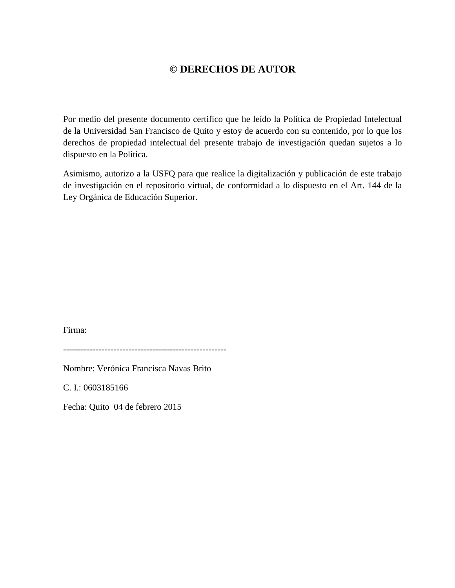# **© DERECHOS DE AUTOR**

Por medio del presente documento certifico que he leído la Política de Propiedad Intelectual de la Universidad San Francisco de Quito y estoy de acuerdo con su contenido, por lo que los derechos de propiedad intelectual del presente trabajo de investigación quedan sujetos a lo dispuesto en la Política.

Asimismo, autorizo a la USFQ para que realice la digitalización y publicación de este trabajo de investigación en el repositorio virtual, de conformidad a lo dispuesto en el Art. 144 de la Ley Orgánica de Educación Superior.

Firma:

-------------------------------------------------------

Nombre: Verónica Francisca Navas Brito

C. I.: 0603185166

Fecha: Quito 04 de febrero 2015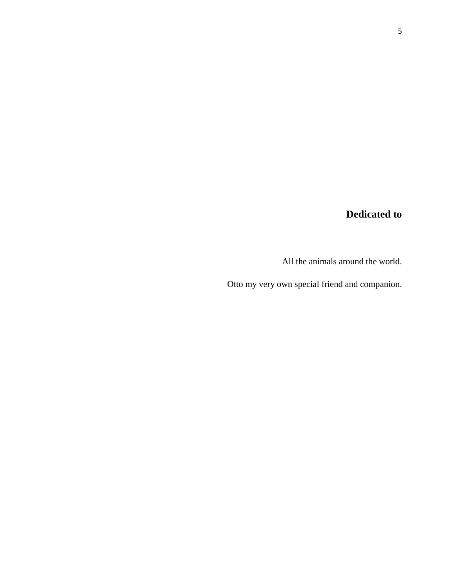# **Dedicated to**

All the animals around the world.

Otto my very own special friend and companion.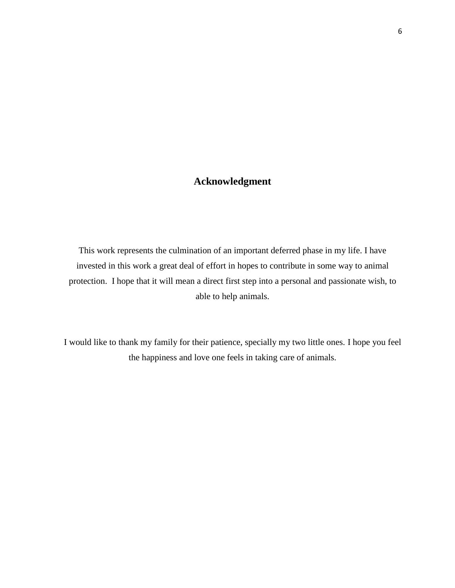# **Acknowledgment**

This work represents the culmination of an important deferred phase in my life. I have invested in this work a great deal of effort in hopes to contribute in some way to animal protection. I hope that it will mean a direct first step into a personal and passionate wish, to able to help animals.

I would like to thank my family for their patience, specially my two little ones. I hope you feel the happiness and love one feels in taking care of animals.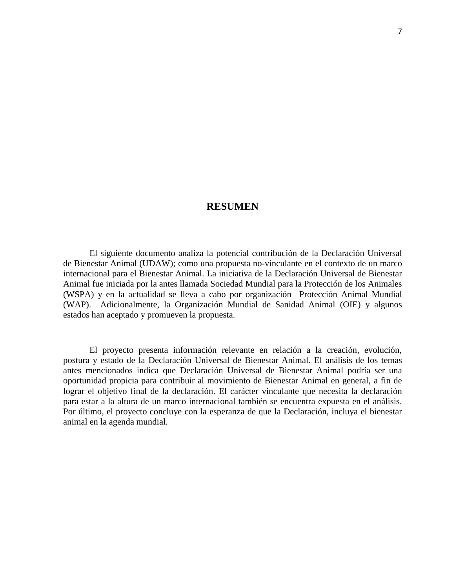#### **RESUMEN**

El siguiente documento analiza la potencial contribución de la Declaración Universal de Bienestar Animal (UDAW); como una propuesta no-vinculante en el contexto de un marco internacional para el Bienestar Animal. La iniciativa de la Declaración Universal de Bienestar Animal fue iniciada por la antes llamada Sociedad Mundial para la Protección de los Animales (WSPA) y en la actualidad se lleva a cabo por organización Protección Animal Mundial (WAP). Adicionalmente, la Organización Mundial de Sanidad Animal (OIE) y algunos estados han aceptado y promueven la propuesta.

El proyecto presenta información relevante en relación a la creación, evolución, postura y estado de la Declaración Universal de Bienestar Animal. El análisis de los temas antes mencionados indica que Declaración Universal de Bienestar Animal podría ser una oportunidad propicia para contribuir al movimiento de Bienestar Animal en general, a fin de lograr el objetivo final de la declaración. El carácter vinculante que necesita la declaración para estar a la altura de un marco internacional también se encuentra expuesta en el análisis. Por último, el proyecto concluye con la esperanza de que la Declaración, incluya el bienestar animal en la agenda mundial.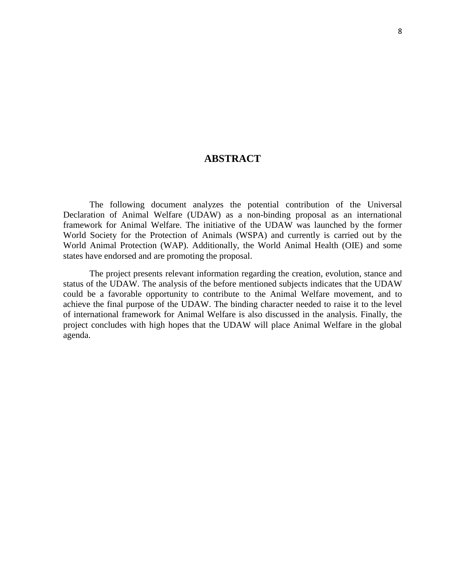# **ABSTRACT**

The following document analyzes the potential contribution of the Universal Declaration of Animal Welfare (UDAW) as a non-binding proposal as an international framework for Animal Welfare. The initiative of the UDAW was launched by the former World Society for the Protection of Animals (WSPA) and currently is carried out by the World Animal Protection (WAP). Additionally, the World Animal Health (OIE) and some states have endorsed and are promoting the proposal.

The project presents relevant information regarding the creation, evolution, stance and status of the UDAW. The analysis of the before mentioned subjects indicates that the UDAW could be a favorable opportunity to contribute to the Animal Welfare movement, and to achieve the final purpose of the UDAW. The binding character needed to raise it to the level of international framework for Animal Welfare is also discussed in the analysis. Finally, the project concludes with high hopes that the UDAW will place Animal Welfare in the global agenda.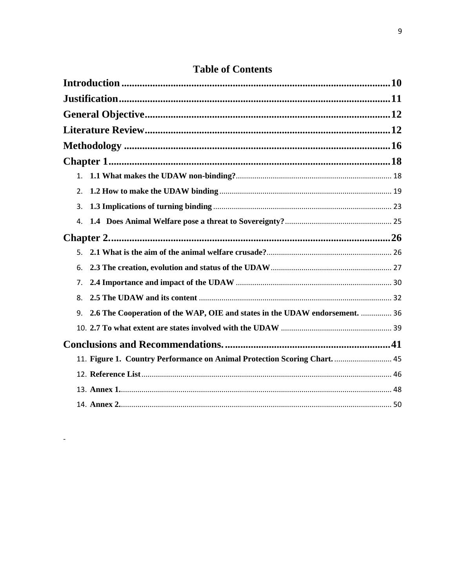| 2.                                                                                |      |
|-----------------------------------------------------------------------------------|------|
| 3.                                                                                |      |
| 4.                                                                                |      |
|                                                                                   |      |
|                                                                                   |      |
| 6.                                                                                |      |
| 7.                                                                                |      |
| 8.                                                                                |      |
| 2.6 The Cooperation of the WAP, OIE and states in the UDAW endorsement.  36<br>9. |      |
|                                                                                   |      |
|                                                                                   |      |
| 11. Figure 1. Country Performance on Animal Protection Scoring Chart.  45         |      |
|                                                                                   |      |
|                                                                                   |      |
|                                                                                   | . 50 |

<span id="page-8-0"></span> $\omega_{\rm c}$ 

# **Table of Contents**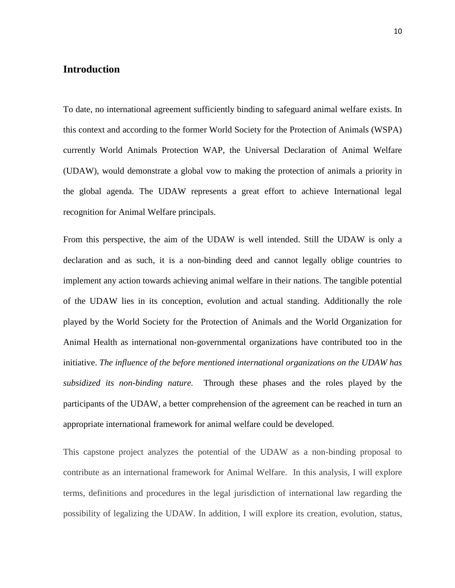# **Introduction**

To date, no international agreement sufficiently binding to safeguard animal welfare exists. In this context and according to the former World Society for the Protection of Animals (WSPA) currently World Animals Protection WAP, the Universal Declaration of Animal Welfare (UDAW), would demonstrate a global vow to making the protection of animals a priority in the global agenda. The UDAW represents a great effort to achieve International legal recognition for Animal Welfare principals.

From this perspective, the aim of the UDAW is well intended. Still the UDAW is only a declaration and as such, it is a non-binding deed and cannot legally oblige countries to implement any action towards achieving animal welfare in their nations. The tangible potential of the UDAW lies in its conception, evolution and actual standing. Additionally the role played by the World Society for the Protection of Animals and the World Organization for Animal Health as international non-governmental organizations have contributed too in the initiative. *The influence of the before mentioned international organizations on the UDAW has subsidized its non-binding nature.* Through these phases and the roles played by the participants of the UDAW, a better comprehension of the agreement can be reached in turn an appropriate international framework for animal welfare could be developed.

This capstone project analyzes the potential of the UDAW as a non-binding proposal to contribute as an international framework for Animal Welfare. In this analysis, I will explore terms, definitions and procedures in the legal jurisdiction of international law regarding the possibility of legalizing the UDAW. In addition, I will explore its creation, evolution, status,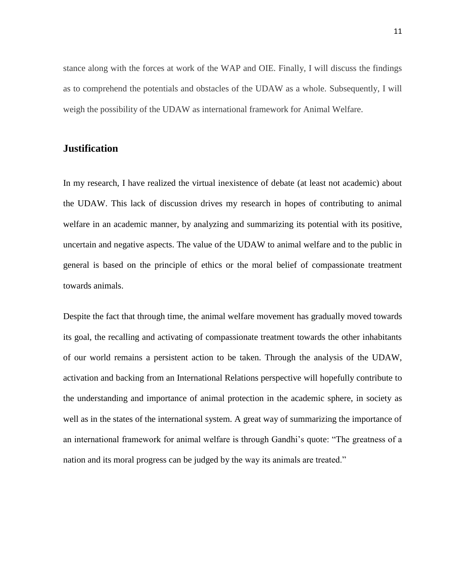stance along with the forces at work of the WAP and OIE. Finally, I will discuss the findings as to comprehend the potentials and obstacles of the UDAW as a whole. Subsequently, I will weigh the possibility of the UDAW as international framework for Animal Welfare.

# <span id="page-10-0"></span>**Justification**

In my research, I have realized the virtual inexistence of debate (at least not academic) about the UDAW. This lack of discussion drives my research in hopes of contributing to animal welfare in an academic manner, by analyzing and summarizing its potential with its positive, uncertain and negative aspects. The value of the UDAW to animal welfare and to the public in general is based on the principle of ethics or the moral belief of compassionate treatment towards animals.

Despite the fact that through time, the animal welfare movement has gradually moved towards its goal, the recalling and activating of compassionate treatment towards the other inhabitants of our world remains a persistent action to be taken. Through the analysis of the UDAW, activation and backing from an International Relations perspective will hopefully contribute to the understanding and importance of animal protection in the academic sphere, in society as well as in the states of the international system. A great way of summarizing the importance of an international framework for animal welfare is through Gandhi's quote: "The greatness of a nation and its moral progress can be judged by the way its animals are treated."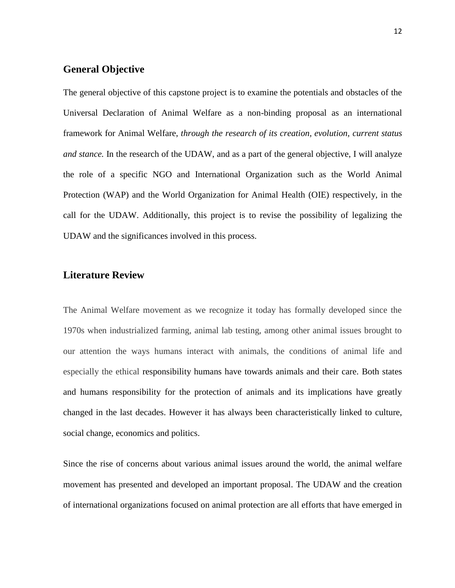### <span id="page-11-0"></span>**General Objective**

The general objective of this capstone project is to examine the potentials and obstacles of the Universal Declaration of Animal Welfare as a non-binding proposal as an international framework for Animal Welfare, *through the research of its creation, evolution, current status and stance.* In the research of the UDAW, and as a part of the general objective, I will analyze the role of a specific NGO and International Organization such as the World Animal Protection (WAP) and the World Organization for Animal Health (OIE) respectively, in the call for the UDAW. Additionally, this project is to revise the possibility of legalizing the UDAW and the significances involved in this process.

# <span id="page-11-1"></span>**Literature Review**

The Animal Welfare movement as we recognize it today has formally developed since the 1970s when industrialized farming, animal lab testing, among other animal issues brought to our attention the ways humans interact with animals, the conditions of animal life and especially the ethical responsibility humans have towards animals and their care. Both states and humans responsibility for the protection of animals and its implications have greatly changed in the last decades. However it has always been characteristically linked to culture, social change, economics and politics.

Since the rise of concerns about various animal issues around the world, the animal welfare movement has presented and developed an important proposal. The UDAW and the creation of international organizations focused on animal protection are all efforts that have emerged in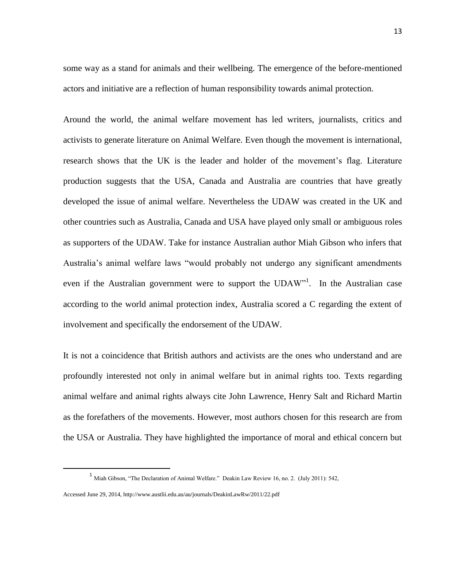some way as a stand for animals and their wellbeing. The emergence of the before-mentioned actors and initiative are a reflection of human responsibility towards animal protection.

Around the world, the animal welfare movement has led writers, journalists, critics and activists to generate literature on Animal Welfare. Even though the movement is international, research shows that the UK is the leader and holder of the movement's flag. Literature production suggests that the USA, Canada and Australia are countries that have greatly developed the issue of animal welfare. Nevertheless the UDAW was created in the UK and other countries such as Australia, Canada and USA have played only small or ambiguous roles as supporters of the UDAW. Take for instance Australian author Miah Gibson who infers that Australia's animal welfare laws "would probably not undergo any significant amendments even if the Australian government were to support the UDAW"<sup>1</sup>. In the Australian case according to the world animal protection index, Australia scored a C regarding the extent of involvement and specifically the endorsement of the UDAW.

It is not a coincidence that British authors and activists are the ones who understand and are profoundly interested not only in animal welfare but in animal rights too. Texts regarding animal welfare and animal rights always cite John Lawrence, Henry Salt and Richard Martin as the forefathers of the movements. However, most authors chosen for this research are from the USA or Australia. They have highlighted the importance of moral and ethical concern but

<sup>&</sup>lt;sup>1</sup> Miah Gibson, "The Declaration of Animal Welfare." Deakin Law Review 16, no. 2. (July 2011): 542,

Accessed June 29, 2014,<http://www.austlii.edu.au/au/journals/DeakinLawRw/2011/22.pdf>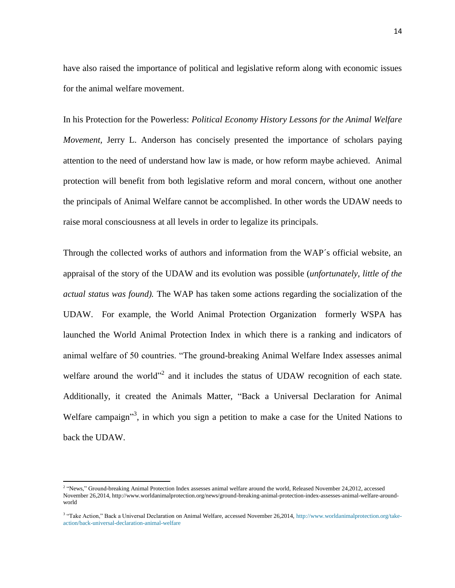have also raised the importance of political and legislative reform along with economic issues for the animal welfare movement.

In his Protection for the Powerless: *Political Economy History Lessons for the Animal Welfare Movement, Jerry L. Anderson has concisely presented the importance of scholars paying* attention to the need of understand how law is made, or how reform maybe achieved. Animal protection will benefit from both legislative reform and moral concern, without one another the principals of Animal Welfare cannot be accomplished. In other words the UDAW needs to raise moral consciousness at all levels in order to legalize its principals.

Through the collected works of authors and information from the WAP´s official website, an appraisal of the story of the UDAW and its evolution was possible (*unfortunately, little of the actual status was found).* The WAP has taken some actions regarding the socialization of the UDAW. For example, the World Animal Protection Organization formerly WSPA has launched the World Animal Protection Index in which there is a ranking and indicators of animal welfare of 50 countries. "The ground-breaking Animal Welfare Index assesses animal welfare around the world"<sup>2</sup> and it includes the status of UDAW recognition of each state. Additionally, it created the Animals Matter, "Back a Universal Declaration for Animal Welfare campaign<sup>33</sup>, in which you sign a petition to make a case for the United Nations to back the UDAW.

<sup>&</sup>lt;sup>2</sup> "News," Ground-breaking Animal Protection Index assesses animal welfare around the world, Released November 24,2012, accessed November 26,2014, [http://www.worldanimalprotection.org/news/ground-breaking-animal-protection-index-assesses-animal-welfare-around](http://www.worldanimalprotection.org/news/ground-breaking-animal-protection-index-assesses-animal-welfare-around-world)[world](http://www.worldanimalprotection.org/news/ground-breaking-animal-protection-index-assesses-animal-welfare-around-world)

<sup>&</sup>lt;sup>3</sup> "Take Action," Back a Universal Declaration on Animal Welfare, accessed November 26,2014, [http://www.worldanimalprotection.org/take](http://www.worldanimalprotection.org/take-action/back-universal-declaration-animal-welfare)[action/back-universal-declaration-animal-welfare](http://www.worldanimalprotection.org/take-action/back-universal-declaration-animal-welfare)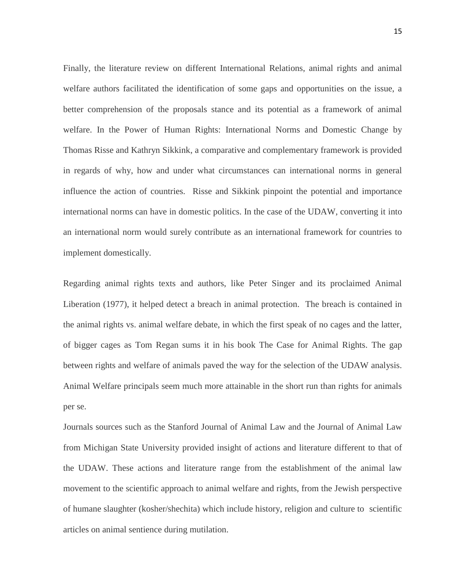Finally, the literature review on different International Relations, animal rights and animal welfare authors facilitated the identification of some gaps and opportunities on the issue, a better comprehension of the proposals stance and its potential as a framework of animal welfare. In the Power of Human Rights: International Norms and Domestic Change by Thomas Risse and Kathryn Sikkink, a comparative and complementary framework is provided in regards of why, how and under what circumstances can international norms in general influence the action of countries. Risse and Sikkink pinpoint the potential and importance international norms can have in domestic politics. In the case of the UDAW, converting it into an international norm would surely contribute as an international framework for countries to implement domestically.

Regarding animal rights texts and authors, like Peter Singer and its proclaimed Animal Liberation (1977), it helped detect a breach in animal protection. The breach is contained in the animal rights vs. animal welfare debate, in which the first speak of no cages and the latter, of bigger cages as Tom Regan sums it in his book The Case for Animal Rights. The gap between rights and welfare of animals paved the way for the selection of the UDAW analysis. Animal Welfare principals seem much more attainable in the short run than rights for animals per se.

Journals sources such as the Stanford Journal of Animal Law and the Journal of Animal Law from Michigan State University provided insight of actions and literature different to that of the UDAW. These actions and literature range from the establishment of the animal law movement to the scientific approach to animal welfare and rights, from the Jewish perspective of humane slaughter (kosher/shechita) which include history, religion and culture to scientific articles on animal sentience during mutilation.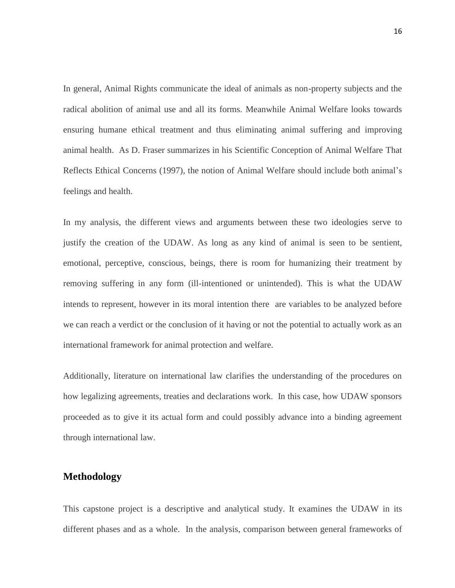In general, Animal Rights communicate the ideal of animals as non-property subjects and the radical abolition of animal use and all its forms. Meanwhile Animal Welfare looks towards ensuring humane ethical treatment and thus eliminating animal suffering and improving animal health. As D. Fraser summarizes in his Scientific Conception of Animal Welfare That Reflects Ethical Concerns (1997), the notion of Animal Welfare should include both animal's feelings and health.

In my analysis, the different views and arguments between these two ideologies serve to justify the creation of the UDAW. As long as any kind of animal is seen to be sentient, emotional, perceptive, conscious, beings, there is room for humanizing their treatment by removing suffering in any form (ill-intentioned or unintended). This is what the UDAW intends to represent, however in its moral intention there are variables to be analyzed before we can reach a verdict or the conclusion of it having or not the potential to actually work as an international framework for animal protection and welfare.

Additionally, literature on international law clarifies the understanding of the procedures on how legalizing agreements, treaties and declarations work. In this case, how UDAW sponsors proceeded as to give it its actual form and could possibly advance into a binding agreement through international law.

## <span id="page-15-0"></span>**Methodology**

This capstone project is a descriptive and analytical study. It examines the UDAW in its different phases and as a whole. In the analysis, comparison between general frameworks of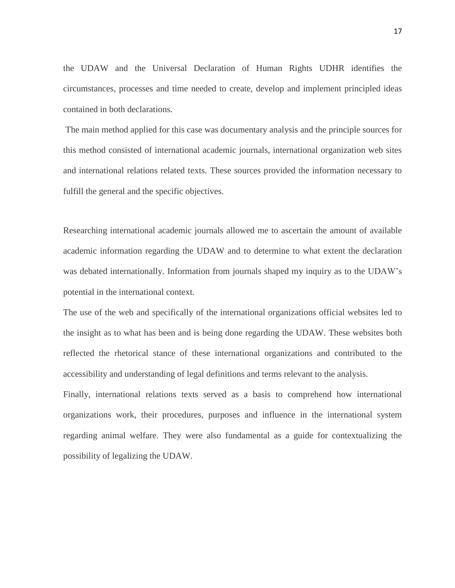the UDAW and the Universal Declaration of Human Rights UDHR identifies the circumstances, processes and time needed to create, develop and implement principled ideas contained in both declarations.

The main method applied for this case was documentary analysis and the principle sources for this method consisted of international academic journals, international organization web sites and international relations related texts. These sources provided the information necessary to fulfill the general and the specific objectives.

Researching international academic journals allowed me to ascertain the amount of available academic information regarding the UDAW and to determine to what extent the declaration was debated internationally. Information from journals shaped my inquiry as to the UDAW's potential in the international context.

The use of the web and specifically of the international organizations official websites led to the insight as to what has been and is being done regarding the UDAW. These websites both reflected the rhetorical stance of these international organizations and contributed to the accessibility and understanding of legal definitions and terms relevant to the analysis.

Finally, international relations texts served as a basis to comprehend how international organizations work, their procedures, purposes and influence in the international system regarding animal welfare. They were also fundamental as a guide for contextualizing the possibility of legalizing the UDAW.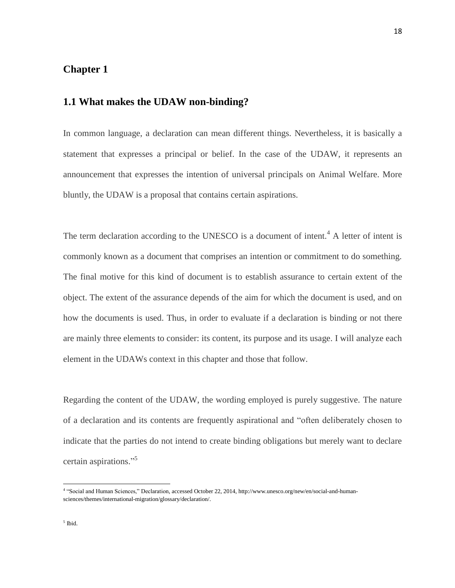# <span id="page-17-0"></span>**Chapter 1**

# <span id="page-17-1"></span>**1.1 What makes the UDAW non-binding?**

In common language, a declaration can mean different things. Nevertheless, it is basically a statement that expresses a principal or belief. In the case of the UDAW, it represents an announcement that expresses the intention of universal principals on Animal Welfare. More bluntly, the UDAW is a proposal that contains certain aspirations.

The term declaration according to the UNESCO is a document of intent.<sup>4</sup> A letter of intent is commonly known as a document that comprises an intention or commitment to do something. The final motive for this kind of document is to establish assurance to certain extent of the object. The extent of the assurance depends of the aim for which the document is used, and on how the documents is used. Thus, in order to evaluate if a declaration is binding or not there are mainly three elements to consider: its content, its purpose and its usage. I will analyze each element in the UDAWs context in this chapter and those that follow.

Regarding the content of the UDAW, the wording employed is purely suggestive. The nature of a declaration and its contents are frequently aspirational and "often deliberately chosen to indicate that the parties do not intend to create binding obligations but merely want to declare certain aspirations." 5

 4 "Social and Human Sciences," Declaration, accessed October 22, 2014, [http://www.unesco.org/new/en/social-and-human](http://www.unesco.org/new/en/social-and-human-sciences/themes/international-migration/glossary/declaration/)[sciences/themes/international-migration/glossary/declaration/.](http://www.unesco.org/new/en/social-and-human-sciences/themes/international-migration/glossary/declaration/)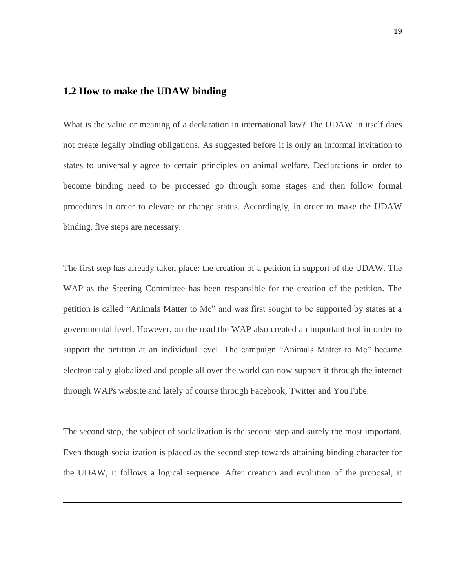## <span id="page-18-0"></span>**1.2 How to make the UDAW binding**

1

What is the value or meaning of a declaration in international law? The UDAW in itself does not create legally binding obligations. As suggested before it is only an informal invitation to states to universally agree to certain principles on animal welfare. Declarations in order to become binding need to be processed go through some stages and then follow formal procedures in order to elevate or change status. Accordingly, in order to make the UDAW binding, five steps are necessary.

The first step has already taken place: the creation of a petition in support of the UDAW. The WAP as the Steering Committee has been responsible for the creation of the petition. The petition is called "Animals Matter to Me" and was first sought to be supported by states at a governmental level. However, on the road the WAP also created an important tool in order to support the petition at an individual level. The campaign "Animals Matter to Me" became electronically globalized and people all over the world can now support it through the internet through WAPs website and lately of course through Facebook, Twitter and YouTube.

The second step, the subject of socialization is the second step and surely the most important. Even though socialization is placed as the second step towards attaining binding character for the UDAW, it follows a logical sequence. After creation and evolution of the proposal, it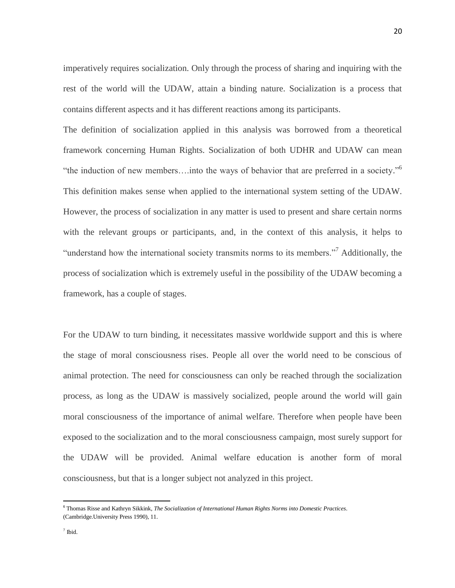imperatively requires socialization. Only through the process of sharing and inquiring with the rest of the world will the UDAW, attain a binding nature. Socialization is a process that contains different aspects and it has different reactions among its participants.

The definition of socialization applied in this analysis was borrowed from a theoretical framework concerning Human Rights. Socialization of both UDHR and UDAW can mean "the induction of new members....into the ways of behavior that are preferred in a society."<sup>6</sup> This definition makes sense when applied to the international system setting of the UDAW. However, the process of socialization in any matter is used to present and share certain norms with the relevant groups or participants, and, in the context of this analysis, it helps to "understand how the international society transmits norms to its members."<sup>7</sup> Additionally, the process of socialization which is extremely useful in the possibility of the UDAW becoming a framework, has a couple of stages.

For the UDAW to turn binding, it necessitates massive worldwide support and this is where the stage of moral consciousness rises. People all over the world need to be conscious of animal protection. The need for consciousness can only be reached through the socialization process, as long as the UDAW is massively socialized, people around the world will gain moral consciousness of the importance of animal welfare. Therefore when people have been exposed to the socialization and to the moral consciousness campaign, most surely support for the UDAW will be provided. Animal welfare education is another form of moral consciousness, but that is a longer subject not analyzed in this project.

<sup>6</sup> Thomas Risse and Kathryn Sikkink, *The Socialization of International Human Rights Norms into Domestic Practices*. (Cambridge.University Press 1990), 11.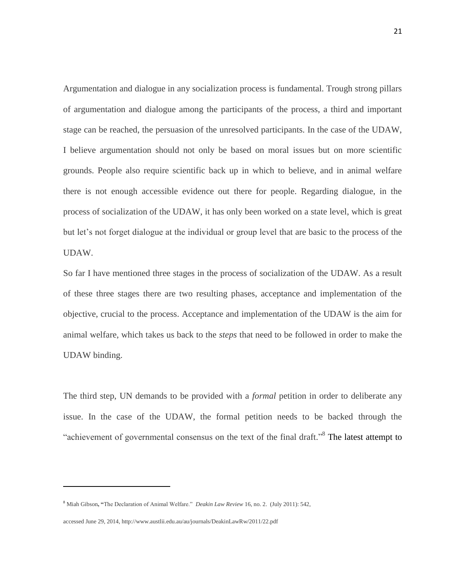Argumentation and dialogue in any socialization process is fundamental. Trough strong pillars of argumentation and dialogue among the participants of the process, a third and important stage can be reached, the persuasion of the unresolved participants. In the case of the UDAW, I believe argumentation should not only be based on moral issues but on more scientific grounds. People also require scientific back up in which to believe, and in animal welfare there is not enough accessible evidence out there for people. Regarding dialogue, in the process of socialization of the UDAW, it has only been worked on a state level, which is great but let's not forget dialogue at the individual or group level that are basic to the process of the UDAW.

So far I have mentioned three stages in the process of socialization of the UDAW. As a result of these three stages there are two resulting phases, acceptance and implementation of the objective, crucial to the process. Acceptance and implementation of the UDAW is the aim for animal welfare, which takes us back to the *steps* that need to be followed in order to make the UDAW binding.

The third step, UN demands to be provided with a *formal* petition in order to deliberate any issue. In the case of the UDAW, the formal petition needs to be backed through the "achievement of governmental consensus on the text of the final draft."<sup>8</sup> The latest attempt to

<sup>8</sup> Miah Gibson**, "**The Declaration of Animal Welfare." *Deakin Law Review* 16, no. 2. (July 2011): 542,

accessed June 29, 2014, http://www.austlii.edu.au/au/journals/DeakinLawRw/2011/22.pdf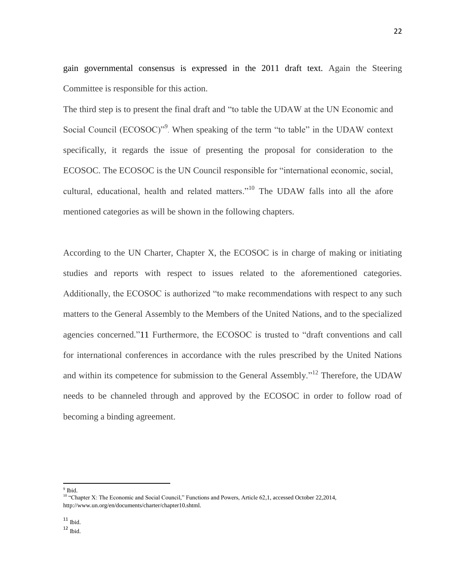gain governmental consensus is expressed in the 2011 draft text. Again the Steering Committee is responsible for this action.

The third step is to present the final draft and "to table the UDAW at the UN Economic and Social Council (ECOSOC)"<sup>9</sup>. When speaking of the term "to table" in the UDAW context specifically, it regards the issue of presenting the proposal for consideration to the ECOSOC. The ECOSOC is the UN Council responsible for "international economic, social, cultural, educational, health and related matters."<sup>10</sup> The UDAW falls into all the afore mentioned categories as will be shown in the following chapters.

According to the UN Charter, Chapter X, the ECOSOC is in charge of making or initiating studies and reports with respect to issues related to the aforementioned categories. Additionally, the ECOSOC is authorized "to make recommendations with respect to any such matters to the General Assembly to the Members of the United Nations, and to the specialized agencies concerned."11 Furthermore, the ECOSOC is trusted to "draft conventions and call for international conferences in accordance with the rules prescribed by the United Nations and within its competence for submission to the General Assembly."<sup>12</sup> Therefore, the UDAW needs to be channeled through and approved by the ECOSOC in order to follow road of becoming a binding agreement.

 $\overline{a}$ <sup>9</sup> Ibid.

 $^{\rm 11}$  Ibid.

<sup>&</sup>lt;sup>10</sup> "Chapter X: The Economic and Social Council," Functions and Powers, Article 62,1, accessed October 22,2014, [http://www.un.org/en/documents/charter/chapter10.shtml.](http://www.un.org/en/documents/charter/chapter10.shtml)

 $12 \text{ }$  Ibid.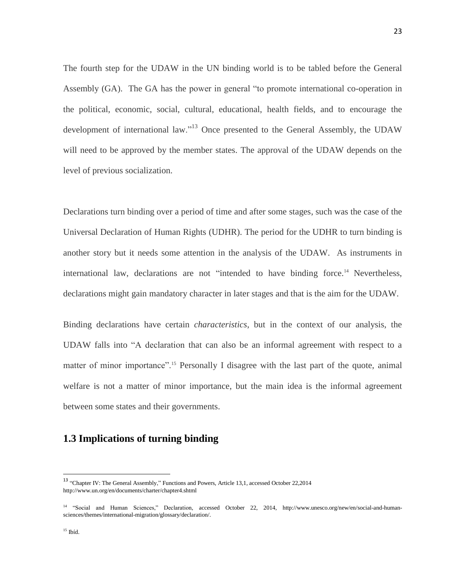The fourth step for the UDAW in the UN binding world is to be tabled before the General Assembly (GA). The GA has the power in general "to promote international co-operation in the political, economic, social, cultural, educational, health fields, and to encourage the development of international law."<sup>13</sup> Once presented to the General Assembly, the UDAW will need to be approved by the member states. The approval of the UDAW depends on the level of previous socialization.

Declarations turn binding over a period of time and after some stages, such was the case of the Universal Declaration of Human Rights (UDHR). The period for the UDHR to turn binding is another story but it needs some attention in the analysis of the UDAW. As instruments in international law, declarations are not "intended to have binding force.<sup>14</sup> Nevertheless, declarations might gain mandatory character in later stages and that is the aim for the UDAW.

Binding declarations have certain *characteristics*, but in the context of our analysis, the UDAW falls into "A declaration that can also be an informal agreement with respect to a matter of minor importance".<sup>15</sup> Personally I disagree with the last part of the quote, animal welfare is not a matter of minor importance, but the main idea is the informal agreement between some states and their governments.

# <span id="page-22-0"></span>**1.3 Implications of turning binding**

<sup>&</sup>lt;sup>13</sup> "Chapter IV: The General Assembly," Functions and Powers, Article 13,1, accessed October 22,2014 <http://www.un.org/en/documents/charter/chapter4.shtml>

<sup>14</sup> "Social and Human Sciences," Declaration, accessed October 22, 2014, [http://www.unesco.org/new/en/social-and-human](http://www.unesco.org/new/en/social-and-human-sciences/themes/international-migration/glossary/declaration/)[sciences/themes/international-migration/glossary/declaration/.](http://www.unesco.org/new/en/social-and-human-sciences/themes/international-migration/glossary/declaration/)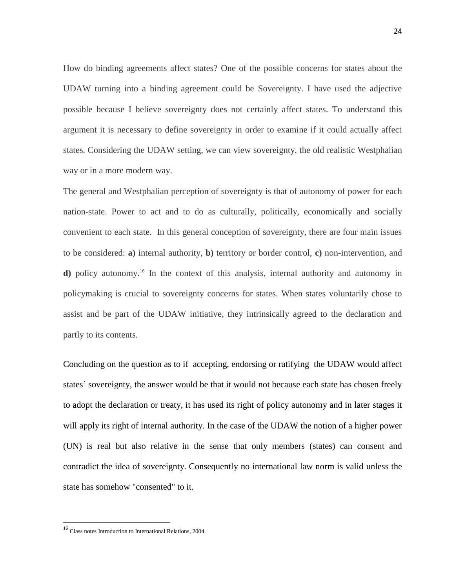How do binding agreements affect states? One of the possible concerns for states about the UDAW turning into a binding agreement could be Sovereignty. I have used the adjective possible because I believe sovereignty does not certainly affect states. To understand this argument it is necessary to define sovereignty in order to examine if it could actually affect states. Considering the UDAW setting, we can view sovereignty, the old realistic Westphalian way or in a more modern way.

The general and Westphalian perception of sovereignty is that of autonomy of power for each nation-state. Power to act and to do as culturally, politically, economically and socially convenient to each state. In this general conception of sovereignty, there are four main issues to be considered: **a)** internal authority, **b)** territory or border control, **c)** non-intervention, and **d)** policy autonomy.<sup>16</sup> In the context of this analysis, internal authority and autonomy in policymaking is crucial to sovereignty concerns for states. When states voluntarily chose to assist and be part of the UDAW initiative, they intrinsically agreed to the declaration and partly to its contents.

Concluding on the question as to if accepting, endorsing or ratifying the UDAW would affect states' sovereignty, the answer would be that it would not because each state has chosen freely to adopt the declaration or treaty, it has used its right of policy autonomy and in later stages it will apply its right of internal authority. In the case of the UDAW the notion of a higher power (UN) is real but also relative in the sense that only members (states) can consent and contradict the idea of sovereignty. Consequently no international law norm is valid unless the state has somehow "consented" to it.

<sup>&</sup>lt;sup>16</sup> Class notes Introduction to International Relations, 2004.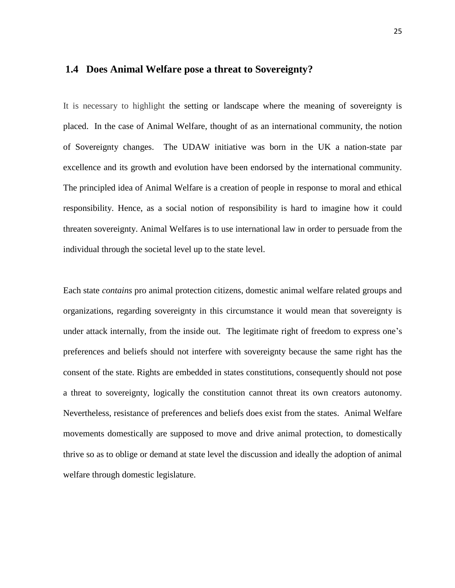## <span id="page-24-0"></span>**1.4 Does Animal Welfare pose a threat to Sovereignty?**

It is necessary to highlight the setting or landscape where the meaning of sovereignty is placed. In the case of Animal Welfare, thought of as an international community, the notion of Sovereignty changes. The UDAW initiative was born in the UK a nation-state par excellence and its growth and evolution have been endorsed by the international community. The principled idea of Animal Welfare is a creation of people in response to moral and ethical responsibility. Hence, as a social notion of responsibility is hard to imagine how it could threaten sovereignty. Animal Welfares is to use international law in order to persuade from the individual through the societal level up to the state level.

Each state *contains* pro animal protection citizens, domestic animal welfare related groups and organizations, regarding sovereignty in this circumstance it would mean that sovereignty is under attack internally, from the inside out. The legitimate right of freedom to express one's preferences and beliefs should not interfere with sovereignty because the same right has the consent of the state. Rights are embedded in states constitutions, consequently should not pose a threat to sovereignty, logically the constitution cannot threat its own creators autonomy. Nevertheless, resistance of preferences and beliefs does exist from the states. Animal Welfare movements domestically are supposed to move and drive animal protection, to domestically thrive so as to oblige or demand at state level the discussion and ideally the adoption of animal welfare through domestic legislature.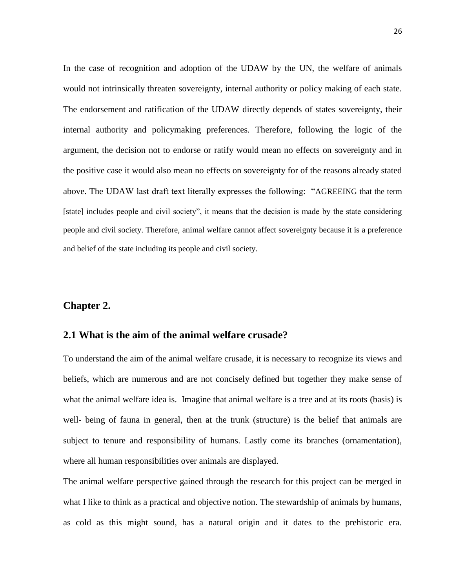In the case of recognition and adoption of the UDAW by the UN, the welfare of animals would not intrinsically threaten sovereignty, internal authority or policy making of each state. The endorsement and ratification of the UDAW directly depends of states sovereignty, their internal authority and policymaking preferences. Therefore, following the logic of the argument, the decision not to endorse or ratify would mean no effects on sovereignty and in the positive case it would also mean no effects on sovereignty for of the reasons already stated above. The UDAW last draft text literally expresses the following: "AGREEING that the term [state] includes people and civil society", it means that the decision is made by the state considering people and civil society. Therefore, animal welfare cannot affect sovereignty because it is a preference and belief of the state including its people and civil society.

## <span id="page-25-0"></span>**Chapter 2.**

# <span id="page-25-1"></span>**2.1 What is the aim of the animal welfare crusade?**

To understand the aim of the animal welfare crusade, it is necessary to recognize its views and beliefs, which are numerous and are not concisely defined but together they make sense of what the animal welfare idea is. Imagine that animal welfare is a tree and at its roots (basis) is well- being of fauna in general, then at the trunk (structure) is the belief that animals are subject to tenure and responsibility of humans. Lastly come its branches (ornamentation), where all human responsibilities over animals are displayed.

The animal welfare perspective gained through the research for this project can be merged in what I like to think as a practical and objective notion. The stewardship of animals by humans, as cold as this might sound, has a natural origin and it dates to the prehistoric era.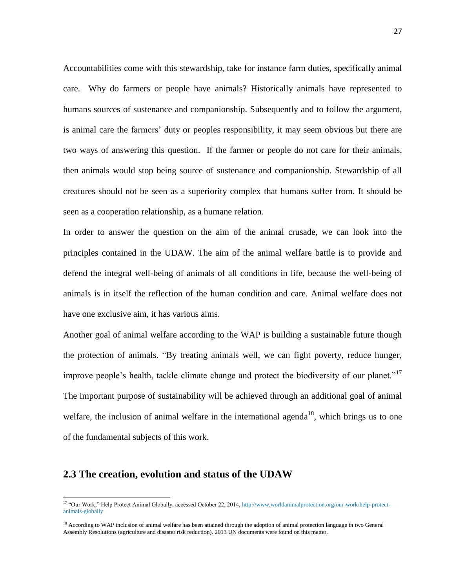Accountabilities come with this stewardship, take for instance farm duties, specifically animal care. Why do farmers or people have animals? Historically animals have represented to humans sources of sustenance and companionship. Subsequently and to follow the argument, is animal care the farmers' duty or peoples responsibility, it may seem obvious but there are two ways of answering this question. If the farmer or people do not care for their animals, then animals would stop being source of sustenance and companionship. Stewardship of all creatures should not be seen as a superiority complex that humans suffer from. It should be seen as a cooperation relationship, as a humane relation.

In order to answer the question on the aim of the animal crusade, we can look into the principles contained in the UDAW. The aim of the animal welfare battle is to provide and defend the integral well-being of animals of all conditions in life, because the well-being of animals is in itself the reflection of the human condition and care. Animal welfare does not have one exclusive aim, it has various aims.

Another goal of animal welfare according to the WAP is building a sustainable future though the protection of animals. "By treating animals well, we can fight poverty, reduce hunger, improve people's health, tackle climate change and protect the biodiversity of our planet."<sup>17</sup> The important purpose of sustainability will be achieved through an additional goal of animal welfare, the inclusion of animal welfare in the international agenda<sup>18</sup>, which brings us to one of the fundamental subjects of this work.

### <span id="page-26-0"></span>**2.3 The creation, evolution and status of the UDAW**

<sup>&</sup>lt;sup>17</sup> "Our Work," Help Protect Animal Globally, accessed October 22, 2014, [http://www.worldanimalprotection.org/our-work/help-protect](http://www.worldanimalprotection.org/our-work/help-protect-animals-globally)[animals-globally](http://www.worldanimalprotection.org/our-work/help-protect-animals-globally)

<sup>&</sup>lt;sup>18</sup> According to WAP inclusion of animal welfare has been attained through the adoption of animal protection language in two General Assembly Resolutions (agriculture and disaster risk reduction). 2013 UN documents were found on this matter.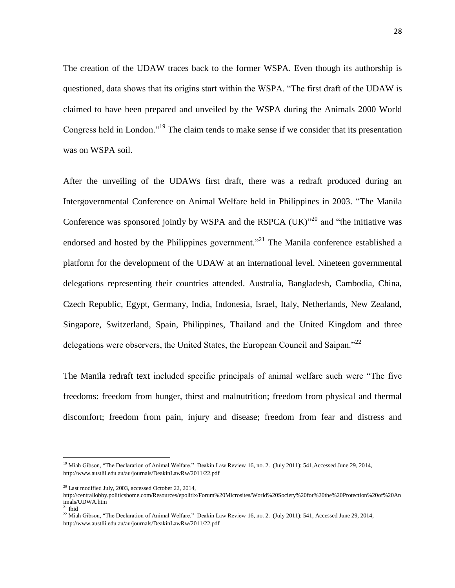The creation of the UDAW traces back to the former WSPA. Even though its authorship is questioned, data shows that its origins start within the WSPA. "The first draft of the UDAW is claimed to have been prepared and unveiled by the WSPA during the Animals 2000 World Congress held in London."<sup>19</sup> The claim tends to make sense if we consider that its presentation was on WSPA soil.

After the unveiling of the UDAWs first draft, there was a redraft produced during an Intergovernmental Conference on Animal Welfare held in Philippines in 2003. "The Manila Conference was sponsored jointly by WSPA and the RSPCA  $(UK)^{320}$  and "the initiative was endorsed and hosted by the Philippines government."<sup>21</sup> The Manila conference established a platform for the development of the UDAW at an international level. Nineteen governmental delegations representing their countries attended. Australia, Bangladesh, Cambodia, China, Czech Republic, Egypt, Germany, India, Indonesia, Israel, Italy, Netherlands, New Zealand, Singapore, Switzerland, Spain, Philippines, Thailand and the United Kingdom and three delegations were observers, the United States, the European Council and Saipan."<sup>22</sup>

The Manila redraft text included specific principals of animal welfare such were "The five freedoms: freedom from hunger, thirst and malnutrition; freedom from physical and thermal discomfort; freedom from pain, injury and disease; freedom from fear and distress and

<sup>&</sup>lt;sup>19</sup> Miah Gibson, "The Declaration of Animal Welfare." Deakin Law Review 16, no. 2. (July 2011): 541, Accessed June 29, 2014, <http://www.austlii.edu.au/au/journals/DeakinLawRw/2011/22.pdf>

 $20$  Last modified July, 2003, accessed October 22, 2014,

[http://centrallobby.politicshome.com/Resources/epolitix/Forum%20Microsites/World%20Society%20for%20the%20Protection%20of%20An](http://centrallobby.politicshome.com/Resources/epolitix/Forum%20Microsites/World%20Society%20for%20the%20Protection%20of%20Animals/UDWA.htm) [imals/UDWA.htm](http://centrallobby.politicshome.com/Resources/epolitix/Forum%20Microsites/World%20Society%20for%20the%20Protection%20of%20Animals/UDWA.htm)

 $21$  Ibid

<sup>&</sup>lt;sup>22</sup> Miah Gibson, "The Declaration of Animal Welfare." Deakin Law Review 16, no. 2. (July 2011): 541, Accessed June 29, 2014, <http://www.austlii.edu.au/au/journals/DeakinLawRw/2011/22.pdf>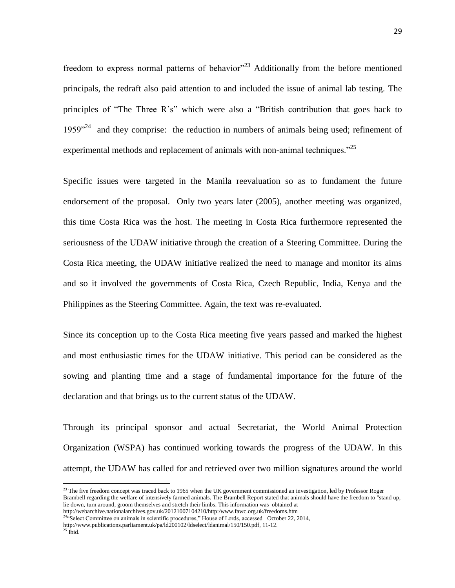freedom to express normal patterns of behavior<sup>323</sup> Additionally from the before mentioned principals, the redraft also paid attention to and included the issue of animal lab testing. The principles of "The Three R's" which were also a "British contribution that goes back to 1959 $^{24}$  and they comprise: the reduction in numbers of animals being used; refinement of experimental methods and replacement of animals with non-animal techniques. $^{25}$ 

Specific issues were targeted in the Manila reevaluation so as to fundament the future endorsement of the proposal. Only two years later (2005), another meeting was organized, this time Costa Rica was the host. The meeting in Costa Rica furthermore represented the seriousness of the UDAW initiative through the creation of a Steering Committee. During the Costa Rica meeting, the UDAW initiative realized the need to manage and monitor its aims and so it involved the governments of Costa Rica, Czech Republic, India, Kenya and the Philippines as the Steering Committee. Again, the text was re-evaluated.

Since its conception up to the Costa Rica meeting five years passed and marked the highest and most enthusiastic times for the UDAW initiative. This period can be considered as the sowing and planting time and a stage of fundamental importance for the future of the declaration and that brings us to the current status of the UDAW.

Through its principal sponsor and actual Secretariat, the World Animal Protection Organization (WSPA) has continued working towards the progress of the UDAW. In this attempt, the UDAW has called for and retrieved over two million signatures around the world

 $23$  The five freedom concept was traced back to 1965 when the UK government commissioned an investigation, led by Professor Roger Brambell regarding the welfare of intensively farmed animals. The Brambell Report stated that animals should have the freedom to "stand up, lie down, turn around, groom themselves and stretch their limbs. This information was obtained at http://webarchive.nationalarchives.gov.uk/20121007104210/http:/www.fawc.org.uk/freedoms.htm

<sup>&</sup>lt;sup>24</sup>"Select Committee on animals in scientific procedures," House of Lords, accessed October 22, 2014, [http://www.publications.parliament.uk/pa/ld200102/ldselect/ldanimal/150/150.pdf,](http://www.publications.parliament.uk/pa/ld200102/ldselect/ldanimal/150/150.pdf) 11-12.

 $^{25}$  Ibid.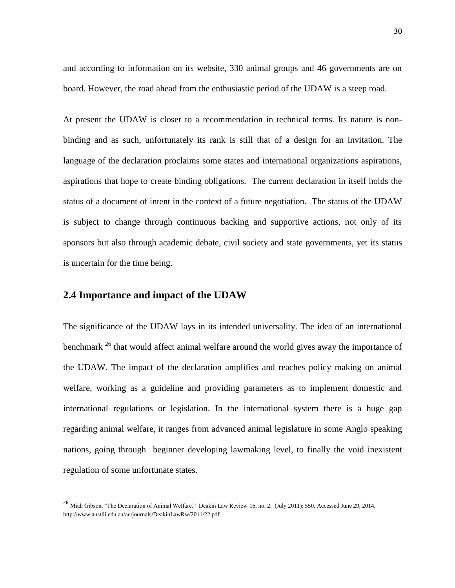and according to information on its website, 330 animal groups and 46 governments are on board. However, the road ahead from the enthusiastic period of the UDAW is a steep road.

At present the UDAW is closer to a recommendation in technical terms. Its nature is nonbinding and as such, unfortunately its rank is still that of a design for an invitation. The language of the declaration proclaims some states and international organizations aspirations, aspirations that hope to create binding obligations. The current declaration in itself holds the status of a document of intent in the context of a future negotiation. The status of the UDAW is subject to change through continuous backing and supportive actions, not only of its sponsors but also through academic debate, civil society and state governments, yet its status is uncertain for the time being.

# <span id="page-29-0"></span>**2.4 Importance and impact of the UDAW**

 $\overline{a}$ 

The significance of the UDAW lays in its intended universality. The idea of an international benchmark  $^{26}$  that would affect animal welfare around the world gives away the importance of the UDAW. The impact of the declaration amplifies and reaches policy making on animal welfare, working as a guideline and providing parameters as to implement domestic and international regulations or legislation. In the international system there is a huge gap regarding animal welfare, it ranges from advanced animal legislature in some Anglo speaking nations, going through beginner developing lawmaking level, to finally the void inexistent regulation of some unfortunate states.

<sup>&</sup>lt;sup>26</sup> Miah Gibson, "The Declaration of Animal Welfare." Deakin Law Review 16, no. 2. (July 2011): 550, Accessed June 29, 2014, <http://www.austlii.edu.au/au/journals/DeakinLawRw/2011/22.pdf>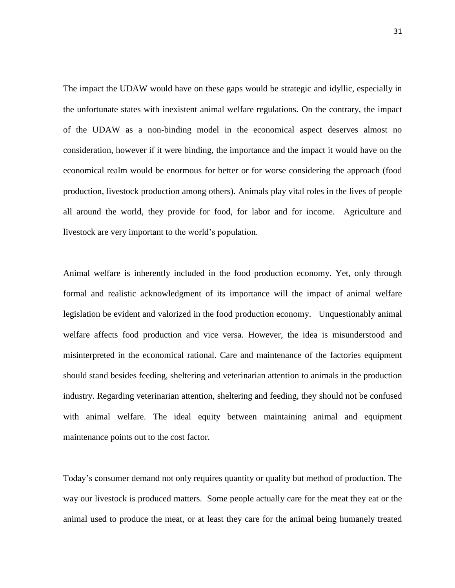The impact the UDAW would have on these gaps would be strategic and idyllic, especially in the unfortunate states with inexistent animal welfare regulations. On the contrary, the impact of the UDAW as a non-binding model in the economical aspect deserves almost no consideration, however if it were binding, the importance and the impact it would have on the economical realm would be enormous for better or for worse considering the approach (food production, livestock production among others). Animals play vital roles in the lives of people all around the world, they provide for food, for labor and for income. Agriculture and livestock are very important to the world's population.

Animal welfare is inherently included in the food production economy. Yet, only through formal and realistic acknowledgment of its importance will the impact of animal welfare legislation be evident and valorized in the food production economy. Unquestionably animal welfare affects food production and vice versa. However, the idea is misunderstood and misinterpreted in the economical rational. Care and maintenance of the factories equipment should stand besides feeding, sheltering and veterinarian attention to animals in the production industry. Regarding veterinarian attention, sheltering and feeding, they should not be confused with animal welfare. The ideal equity between maintaining animal and equipment maintenance points out to the cost factor.

Today's consumer demand not only requires quantity or quality but method of production. The way our livestock is produced matters. Some people actually care for the meat they eat or the animal used to produce the meat, or at least they care for the animal being humanely treated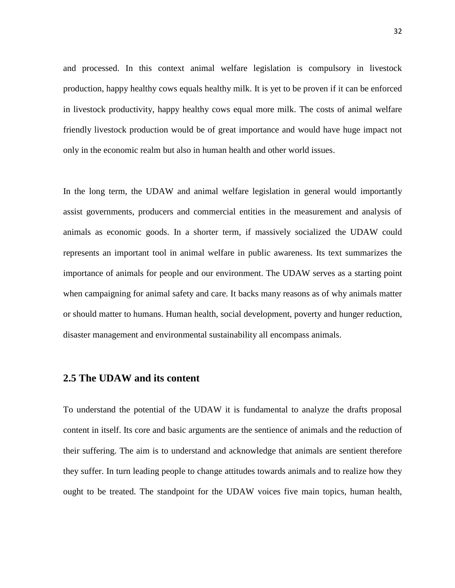and processed. In this context animal welfare legislation is compulsory in livestock production, happy healthy cows equals healthy milk. It is yet to be proven if it can be enforced in livestock productivity, happy healthy cows equal more milk. The costs of animal welfare friendly livestock production would be of great importance and would have huge impact not only in the economic realm but also in human health and other world issues.

In the long term, the UDAW and animal welfare legislation in general would importantly assist governments, producers and commercial entities in the measurement and analysis of animals as economic goods. In a shorter term, if massively socialized the UDAW could represents an important tool in animal welfare in public awareness. Its text summarizes the importance of animals for people and our environment. The UDAW serves as a starting point when campaigning for animal safety and care. It backs many reasons as of why animals matter or should matter to humans. Human health, social development, poverty and hunger reduction, disaster management and environmental sustainability all encompass animals.

# <span id="page-31-0"></span>**2.5 The UDAW and its content**

To understand the potential of the UDAW it is fundamental to analyze the drafts proposal content in itself. Its core and basic arguments are the sentience of animals and the reduction of their suffering. The aim is to understand and acknowledge that animals are sentient therefore they suffer. In turn leading people to change attitudes towards animals and to realize how they ought to be treated. The standpoint for the UDAW voices five main topics, human health,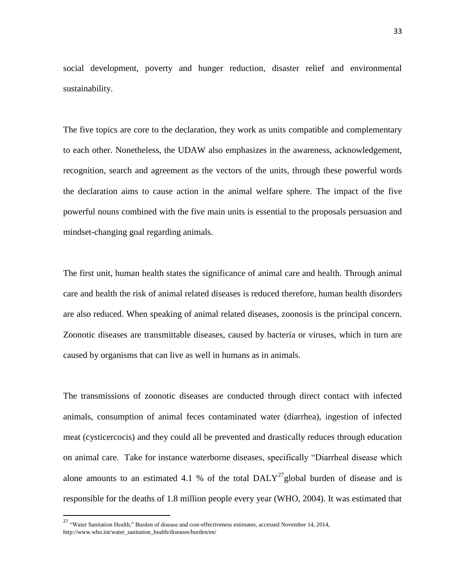social development, poverty and hunger reduction, disaster relief and environmental sustainability.

The five topics are core to the declaration, they work as units compatible and complementary to each other. Nonetheless, the UDAW also emphasizes in the awareness, acknowledgement, recognition, search and agreement as the vectors of the units, through these powerful words the declaration aims to cause action in the animal welfare sphere. The impact of the five powerful nouns combined with the five main units is essential to the proposals persuasion and mindset-changing goal regarding animals.

The first unit, human health states the significance of animal care and health. Through animal care and health the risk of animal related diseases is reduced therefore, human health disorders are also reduced. When speaking of animal related diseases, zoonosis is the principal concern. Zoonotic diseases are transmittable diseases, caused by bacteria or viruses, which in turn are caused by organisms that can live as well in humans as in animals.

The transmissions of zoonotic diseases are conducted through direct contact with infected animals, consumption of animal feces contaminated water (diarrhea), ingestion of infected meat (cysticercocis) and they could all be prevented and drastically reduces through education on animal care. Take for instance waterborne diseases, specifically "Diarrheal disease which alone amounts to an estimated 4.1 % of the total  $DALY^{27}$ global burden of disease and is responsible for the deaths of 1.8 million people every year (WHO, 2004). It was estimated that

<sup>&</sup>lt;sup>27</sup> "Water Sanitation Health," Burden of disease and cost-effectiveness estimates, accessed November 14, 2014, http://www.who.int/water\_sanitation\_health/diseases/burden/en/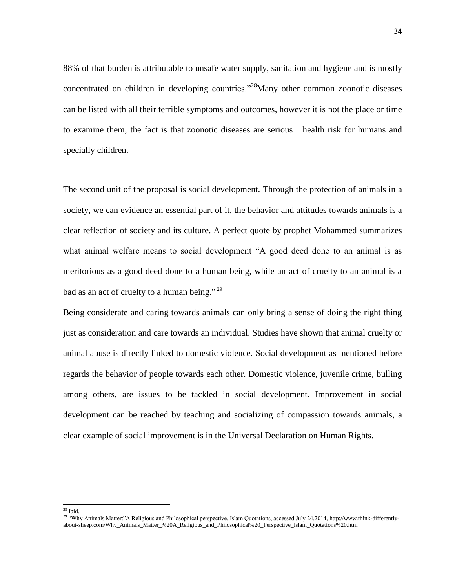88% of that burden is attributable to unsafe water supply, sanitation and hygiene and is mostly concentrated on children in developing countries."<sup>28</sup>Many other common zoonotic diseases can be listed with all their terrible symptoms and outcomes, however it is not the place or time to examine them, the fact is that zoonotic diseases are serious health risk for humans and specially children.

The second unit of the proposal is social development. Through the protection of animals in a society, we can evidence an essential part of it, the behavior and attitudes towards animals is a clear reflection of society and its culture. A perfect quote by prophet Mohammed summarizes what animal welfare means to social development "A good deed done to an animal is as meritorious as a good deed done to a human being, while an act of cruelty to an animal is a bad as an act of cruelty to a human being."<sup>29</sup>

Being considerate and caring towards animals can only bring a sense of doing the right thing just as consideration and care towards an individual. Studies have shown that animal cruelty or animal abuse is directly linked to domestic violence. Social development as mentioned before regards the behavior of people towards each other. Domestic violence, juvenile crime, bulling among others, are issues to be tackled in social development. Improvement in social development can be reached by teaching and socializing of compassion towards animals, a clear example of social improvement is in the Universal Declaration on Human Rights.

 $28$  Ibid.

<sup>&</sup>lt;sup>29</sup> "Why Animals Matter:"A Religious and Philosophical perspective, Islam Quotations, accessed July 24,2014[, http://www.think-differently](http://www.think-differently-about-sheep.com/Why_Animals_Matter_%20A_Religious_and_Philosophical%20_Perspective_Islam_Quotations%20.htm)[about-sheep.com/Why\\_Animals\\_Matter\\_%20A\\_Religious\\_and\\_Philosophical%20\\_Perspective\\_Islam\\_Quotations%20.htm](http://www.think-differently-about-sheep.com/Why_Animals_Matter_%20A_Religious_and_Philosophical%20_Perspective_Islam_Quotations%20.htm)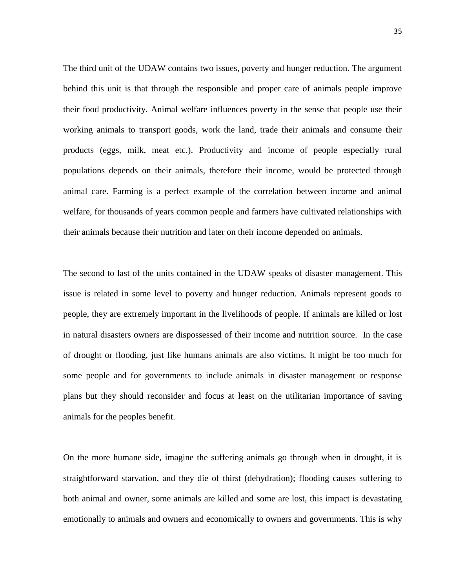The third unit of the UDAW contains two issues, poverty and hunger reduction. The argument behind this unit is that through the responsible and proper care of animals people improve their food productivity. Animal welfare influences poverty in the sense that people use their working animals to transport goods, work the land, trade their animals and consume their products (eggs, milk, meat etc.). Productivity and income of people especially rural populations depends on their animals, therefore their income, would be protected through animal care. Farming is a perfect example of the correlation between income and animal welfare, for thousands of years common people and farmers have cultivated relationships with their animals because their nutrition and later on their income depended on animals.

The second to last of the units contained in the UDAW speaks of disaster management. This issue is related in some level to poverty and hunger reduction. Animals represent goods to people, they are extremely important in the livelihoods of people. If animals are killed or lost in natural disasters owners are dispossessed of their income and nutrition source. In the case of drought or flooding, just like humans animals are also victims. It might be too much for some people and for governments to include animals in disaster management or response plans but they should reconsider and focus at least on the utilitarian importance of saving animals for the peoples benefit.

On the more humane side, imagine the suffering animals go through when in drought, it is straightforward starvation, and they die of thirst (dehydration); flooding causes suffering to both animal and owner, some animals are killed and some are lost, this impact is devastating emotionally to animals and owners and economically to owners and governments. This is why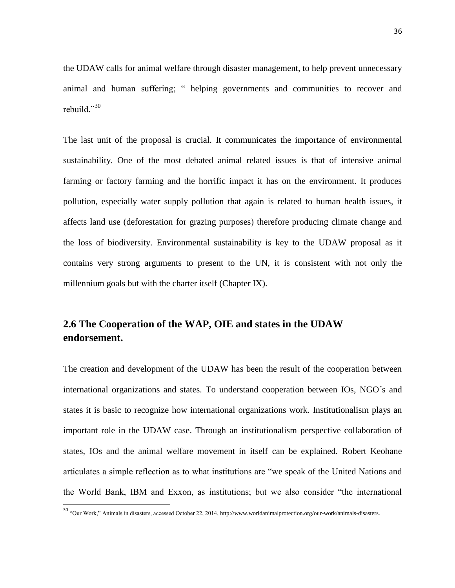the UDAW calls for animal welfare through disaster management, to help prevent unnecessary animal and human suffering; " helping governments and communities to recover and rebuild."30

The last unit of the proposal is crucial. It communicates the importance of environmental sustainability. One of the most debated animal related issues is that of intensive animal farming or factory farming and the horrific impact it has on the environment. It produces pollution, especially water supply pollution that again is related to human health issues, it affects land use (deforestation for grazing purposes) therefore producing climate change and the loss of biodiversity. Environmental sustainability is key to the UDAW proposal as it contains very strong arguments to present to the UN, it is consistent with not only the millennium goals but with the charter itself (Chapter IX).

# <span id="page-35-0"></span>**2.6 The Cooperation of the WAP, OIE and states in the UDAW endorsement.**

The creation and development of the UDAW has been the result of the cooperation between international organizations and states. To understand cooperation between IOs, NGO´s and states it is basic to recognize how international organizations work. Institutionalism plays an important role in the UDAW case. Through an institutionalism perspective collaboration of states, IOs and the animal welfare movement in itself can be explained. Robert Keohane articulates a simple reflection as to what institutions are "we speak of the United Nations and the World Bank, IBM and Exxon, as institutions; but we also consider "the international

<sup>30</sup> "Our Work," Animals in disasters, accessed October 22, 2014[, http://www.worldanimalprotection.org/our-work/animals-disasters.](http://www.worldanimalprotection.org/our-work/animals-disasters)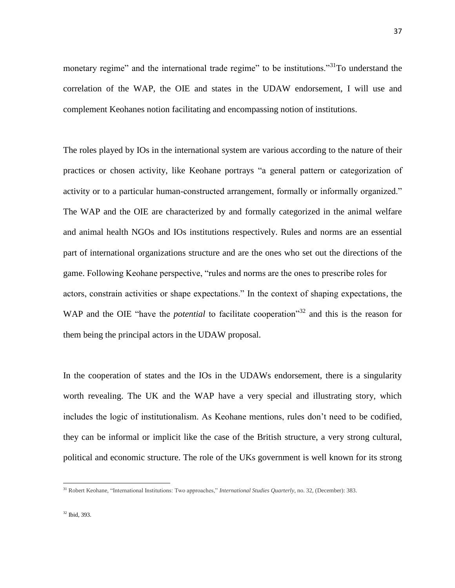monetary regime" and the international trade regime" to be institutions."<sup>31</sup>To understand the correlation of the WAP, the OIE and states in the UDAW endorsement, I will use and complement Keohanes notion facilitating and encompassing notion of institutions.

The roles played by IOs in the international system are various according to the nature of their practices or chosen activity, like Keohane portrays "a general pattern or categorization of activity or to a particular human-constructed arrangement, formally or informally organized." The WAP and the OIE are characterized by and formally categorized in the animal welfare and animal health NGOs and IOs institutions respectively. Rules and norms are an essential part of international organizations structure and are the ones who set out the directions of the game. Following Keohane perspective, "rules and norms are the ones to prescribe roles for actors, constrain activities or shape expectations." In the context of shaping expectations, the WAP and the OIE "have the *potential* to facilitate cooperation"<sup>32</sup> and this is the reason for them being the principal actors in the UDAW proposal.

In the cooperation of states and the IOs in the UDAWs endorsement, there is a singularity worth revealing. The UK and the WAP have a very special and illustrating story, which includes the logic of institutionalism. As Keohane mentions, rules don't need to be codified, they can be informal or implicit like the case of the British structure, a very strong cultural, political and economic structure. The role of the UKs government is well known for its strong

<sup>31</sup> Robert Keohane, "International Institutions: Two approaches," *International Studies Quarterly*, no. 32, (December): 383.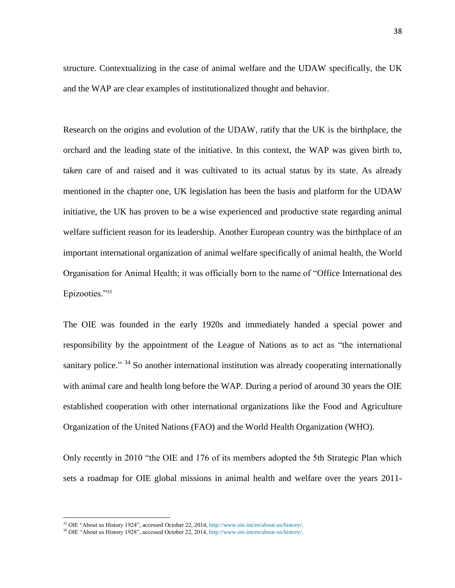structure. Contextualizing in the case of animal welfare and the UDAW specifically, the UK and the WAP are clear examples of institutionalized thought and behavior.

Research on the origins and evolution of the UDAW, ratify that the UK is the birthplace, the orchard and the leading state of the initiative. In this context, the WAP was given birth to, taken care of and raised and it was cultivated to its actual status by its state. As already mentioned in the chapter one, UK legislation has been the basis and platform for the UDAW initiative, the UK has proven to be a wise experienced and productive state regarding animal welfare sufficient reason for its leadership. Another European country was the birthplace of an important international organization of animal welfare specifically of animal health, the World Organisation for Animal Health; it was officially born to the name of "Office International des Epizooties."<sup>33</sup>

The OIE was founded in the early 1920s and immediately handed a special power and responsibility by the appointment of the League of Nations as to act as "the international sanitary police." <sup>34</sup> So another international institution was already cooperating internationally with animal care and health long before the WAP. During a period of around 30 years the OIE established cooperation with other international organizations like the Food and Agriculture Organization of the United Nations (FAO) and the World Health Organization (WHO).

Only recently in 2010 "the OIE and 176 of its members adopted the 5th Strategic Plan which sets a roadmap for OIE global missions in animal health and welfare over the years 2011-

<sup>33</sup> OIE "About us History 1924", accessed October 22, 2014[, http://www.oie.int/en/about-us/history/.](http://www.oie.int/en/about-us/history/)

<sup>34</sup> OIE "About us History 1928", accessed October 22, 2014[, http://www.oie.int/en/about-us/history/.](http://www.oie.int/en/about-us/history/)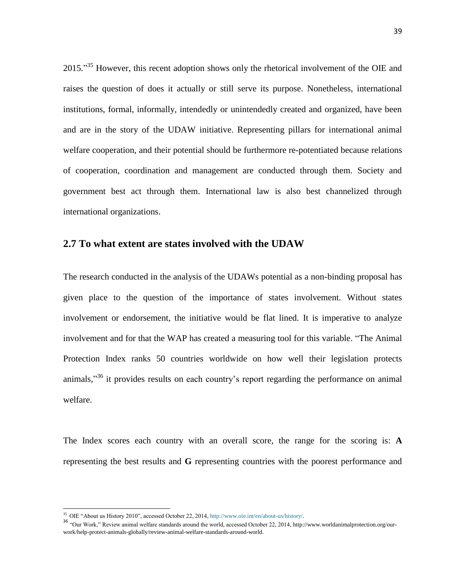2015."<sup>35</sup> However, this recent adoption shows only the rhetorical involvement of the OIE and raises the question of does it actually or still serve its purpose. Nonetheless, international institutions, formal, informally, intendedly or unintendedly created and organized, have been and are in the story of the UDAW initiative. Representing pillars for international animal welfare cooperation, and their potential should be furthermore re-potentiated because relations of cooperation, coordination and management are conducted through them. Society and government best act through them. International law is also best channelized through international organizations.

#### <span id="page-38-0"></span>**2.7 To what extent are states involved with the UDAW**

The research conducted in the analysis of the UDAWs potential as a non-binding proposal has given place to the question of the importance of states involvement. Without states involvement or endorsement, the initiative would be flat lined. It is imperative to analyze involvement and for that the WAP has created a measuring tool for this variable. "The Animal Protection Index ranks 50 countries worldwide on how well their legislation protects animals, $\mathfrak{z}^{36}$  it provides results on each country's report regarding the performance on animal welfare.

The Index scores each country with an overall score, the range for the scoring is: **A** representing the best results and **G** representing countries with the poorest performance and

<sup>&</sup>lt;sup>35</sup> OIE "About us History 2010", accessed October 22, 2014[, http://www.oie.int/en/about-us/history/.](http://www.oie.int/en/about-us/history/)

<sup>36</sup> "Our Work," Review animal welfare standards around the world, accessed October 22, 2014[, http://www.worldanimalprotection.org/our](http://www.worldanimalprotection.org/our-work/help-protect-animals-globally/review-animal-welfare-standards-around-world)[work/help-protect-animals-globally/review-animal-welfare-standards-around-world.](http://www.worldanimalprotection.org/our-work/help-protect-animals-globally/review-animal-welfare-standards-around-world)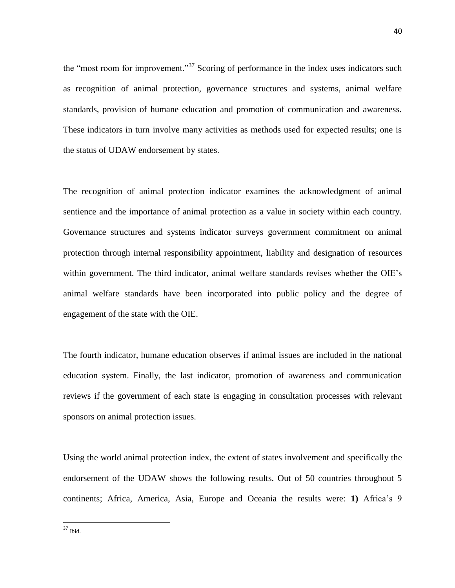the "most room for improvement."<sup>37</sup> Scoring of performance in the index uses indicators such as recognition of animal protection, governance structures and systems, animal welfare standards, provision of humane education and promotion of communication and awareness. These indicators in turn involve many activities as methods used for expected results; one is the status of UDAW endorsement by states.

The recognition of animal protection indicator examines the acknowledgment of animal sentience and the importance of animal protection as a value in society within each country. Governance structures and systems indicator surveys government commitment on animal protection through internal responsibility appointment, liability and designation of resources within government. The third indicator, animal welfare standards revises whether the OIE's animal welfare standards have been incorporated into public policy and the degree of engagement of the state with the OIE.

The fourth indicator, humane education observes if animal issues are included in the national education system. Finally, the last indicator, promotion of awareness and communication reviews if the government of each state is engaging in consultation processes with relevant sponsors on animal protection issues.

Using the world animal protection index, the extent of states involvement and specifically the endorsement of the UDAW shows the following results. Out of 50 countries throughout 5 continents; Africa, America, Asia, Europe and Oceania the results were: **1)** Africa's 9

 $37$  Ibid.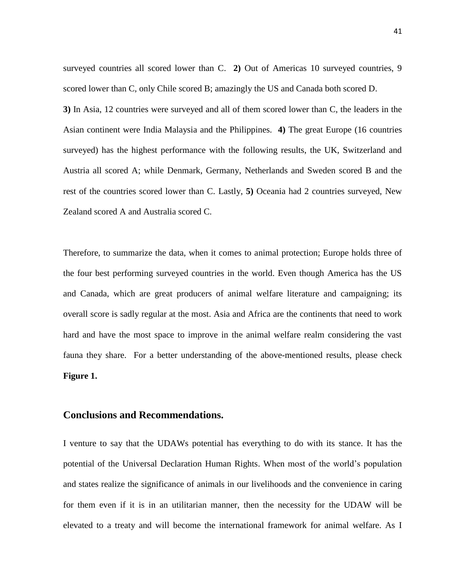surveyed countries all scored lower than C. **2)** Out of Americas 10 surveyed countries, 9 scored lower than C, only Chile scored B; amazingly the US and Canada both scored D. **3)** In Asia, 12 countries were surveyed and all of them scored lower than C, the leaders in the Asian continent were India Malaysia and the Philippines. **4)** The great Europe (16 countries surveyed) has the highest performance with the following results, the UK, Switzerland and Austria all scored A; while Denmark, Germany, Netherlands and Sweden scored B and the rest of the countries scored lower than C. Lastly, **5)** Oceania had 2 countries surveyed, New Zealand scored A and Australia scored C.

Therefore, to summarize the data, when it comes to animal protection; Europe holds three of the four best performing surveyed countries in the world. Even though America has the US and Canada, which are great producers of animal welfare literature and campaigning; its overall score is sadly regular at the most. Asia and Africa are the continents that need to work hard and have the most space to improve in the animal welfare realm considering the vast fauna they share. For a better understanding of the above-mentioned results, please check **Figure 1.**

## <span id="page-40-0"></span>**Conclusions and Recommendations.**

I venture to say that the UDAWs potential has everything to do with its stance. It has the potential of the Universal Declaration Human Rights. When most of the world's population and states realize the significance of animals in our livelihoods and the convenience in caring for them even if it is in an utilitarian manner, then the necessity for the UDAW will be elevated to a treaty and will become the international framework for animal welfare. As I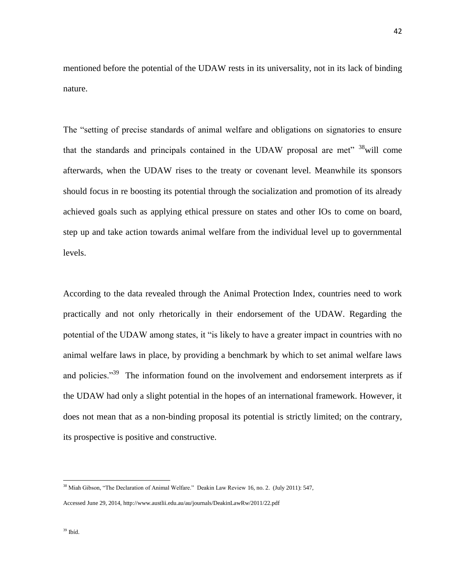mentioned before the potential of the UDAW rests in its universality, not in its lack of binding nature.

The "setting of precise standards of animal welfare and obligations on signatories to ensure that the standards and principals contained in the UDAW proposal are met" <sup>38</sup>will come afterwards, when the UDAW rises to the treaty or covenant level. Meanwhile its sponsors should focus in re boosting its potential through the socialization and promotion of its already achieved goals such as applying ethical pressure on states and other IOs to come on board, step up and take action towards animal welfare from the individual level up to governmental levels.

According to the data revealed through the Animal Protection Index, countries need to work practically and not only rhetorically in their endorsement of the UDAW. Regarding the potential of the UDAW among states, it "is likely to have a greater impact in countries with no animal welfare laws in place, by providing a benchmark by which to set animal welfare laws and policies."<sup>39</sup> The information found on the involvement and endorsement interprets as if the UDAW had only a slight potential in the hopes of an international framework. However, it does not mean that as a non-binding proposal its potential is strictly limited; on the contrary, its prospective is positive and constructive.

<sup>38</sup> Miah Gibson, "The Declaration of Animal Welfare." Deakin Law Review 16, no. 2. (July 2011): 547,

Accessed June 29, 2014,<http://www.austlii.edu.au/au/journals/DeakinLawRw/2011/22.pdf>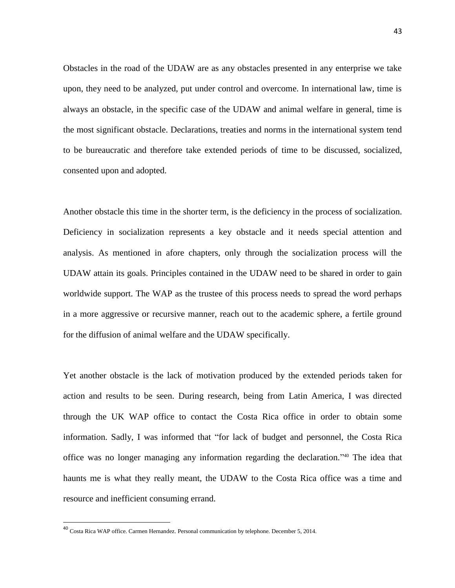Obstacles in the road of the UDAW are as any obstacles presented in any enterprise we take upon, they need to be analyzed, put under control and overcome. In international law, time is always an obstacle, in the specific case of the UDAW and animal welfare in general, time is the most significant obstacle. Declarations, treaties and norms in the international system tend to be bureaucratic and therefore take extended periods of time to be discussed, socialized, consented upon and adopted.

Another obstacle this time in the shorter term, is the deficiency in the process of socialization. Deficiency in socialization represents a key obstacle and it needs special attention and analysis. As mentioned in afore chapters, only through the socialization process will the UDAW attain its goals. Principles contained in the UDAW need to be shared in order to gain worldwide support. The WAP as the trustee of this process needs to spread the word perhaps in a more aggressive or recursive manner, reach out to the academic sphere, a fertile ground for the diffusion of animal welfare and the UDAW specifically.

Yet another obstacle is the lack of motivation produced by the extended periods taken for action and results to be seen. During research, being from Latin America, I was directed through the UK WAP office to contact the Costa Rica office in order to obtain some information. Sadly, I was informed that "for lack of budget and personnel, the Costa Rica office was no longer managing any information regarding the declaration." <sup>40</sup> The idea that haunts me is what they really meant, the UDAW to the Costa Rica office was a time and resource and inefficient consuming errand.

<sup>40</sup> Costa Rica WAP office. Carmen Hernandez. Personal communication by telephone. December 5, 2014.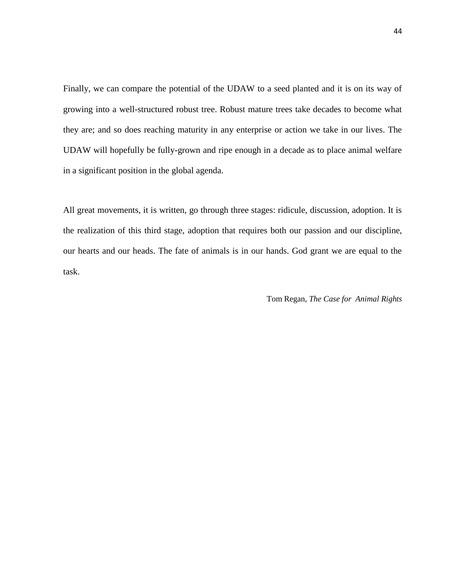Finally, we can compare the potential of the UDAW to a seed planted and it is on its way of growing into a well-structured robust tree. Robust mature trees take decades to become what they are; and so does reaching maturity in any enterprise or action we take in our lives. The UDAW will hopefully be fully-grown and ripe enough in a decade as to place animal welfare in a significant position in the global agenda.

All great movements, it is written, go through three stages: ridicule, discussion, adoption. It is the realization of this third stage, adoption that requires both our passion and our discipline, our hearts and our heads. The fate of animals is in our hands. God grant we are equal to the task.

Tom Regan, *The Case for Animal Rights*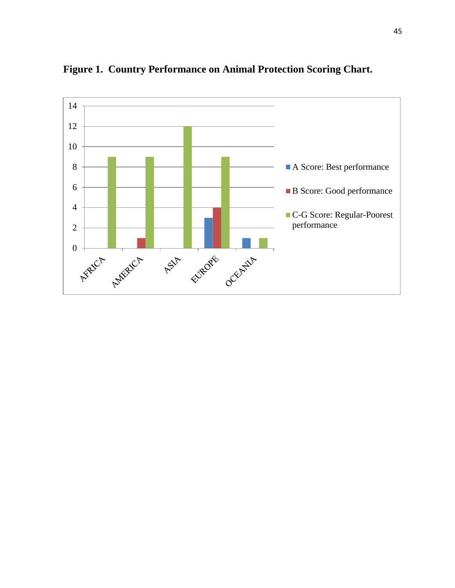

<span id="page-44-0"></span>**Figure 1. Country Performance on Animal Protection Scoring Chart.**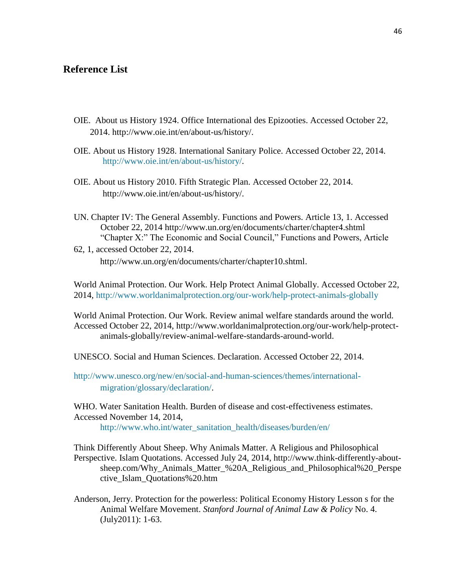# <span id="page-45-0"></span>**Reference List**

- OIE. About us History 1924. Office International des Epizooties. Accessed October 22, 2014. [http://www.oie.int/en/about-us/history/.](http://www.oie.int/en/about-us/history/)
- OIE. About us History 1928. International Sanitary Police. Accessed October 22, 2014. [http://www.oie.int/en/about-us/history/.](http://www.oie.int/en/about-us/history/)
- OIE. About us History 2010. Fifth Strategic Plan. Accessed October 22, 2014. [http://www.oie.int/en/about-us/history/.](http://www.oie.int/en/about-us/history/)
- UN. Chapter IV: The General Assembly. Functions and Powers. Article 13, 1. Accessed October 22, 2014<http://www.un.org/en/documents/charter/chapter4.shtml> "Chapter X:" The Economic and Social Council," Functions and Powers, Article
- 62, 1, accessed October 22, 2014. [http://www.un.org/en/documents/charter/chapter10.shtml.](http://www.un.org/en/documents/charter/chapter10.shtml)

World Animal Protection. Our Work. Help Protect Animal Globally. Accessed October 22, 2014,<http://www.worldanimalprotection.org/our-work/help-protect-animals-globally>

World Animal Protection. Our Work. Review animal welfare standards around the world. Accessed October 22, 2014, [http://www.worldanimalprotection.org/our-work/help-protect](http://www.worldanimalprotection.org/our-work/help-protect-animals-globally/review-animal-welfare-standards-around-world)[animals-globally/review-animal-welfare-standards-around-world.](http://www.worldanimalprotection.org/our-work/help-protect-animals-globally/review-animal-welfare-standards-around-world)

UNESCO. Social and Human Sciences. Declaration. Accessed October 22, 2014.

[http://www.unesco.org/new/en/social-and-human-sciences/themes/international](http://www.unesco.org/new/en/social-and-human-sciences/themes/international-migration/glossary/declaration/)[migration/glossary/declaration/.](http://www.unesco.org/new/en/social-and-human-sciences/themes/international-migration/glossary/declaration/)

WHO. Water Sanitation Health. Burden of disease and cost-effectiveness estimates. Accessed November 14, 2014, [http://www.who.int/water\\_sanitation\\_health/diseases/burden/en/](http://www.who.int/water_sanitation_health/diseases/burden/en/)

Think Differently About Sheep. Why Animals Matter. A Religious and Philosophical Perspective. Islam Quotations. Accessed July 24, 2014, [http://www.think-differently-about](http://www.think-differently-about-sheep.com/Why_Animals_Matter_%20A_Religious_and_Philosophical%20_Perspective_Islam_Quotations%20.htm)[sheep.com/Why\\_Animals\\_Matter\\_%20A\\_Religious\\_and\\_Philosophical%20\\_Perspe](http://www.think-differently-about-sheep.com/Why_Animals_Matter_%20A_Religious_and_Philosophical%20_Perspective_Islam_Quotations%20.htm) [ctive\\_Islam\\_Quotations%20.htm](http://www.think-differently-about-sheep.com/Why_Animals_Matter_%20A_Religious_and_Philosophical%20_Perspective_Islam_Quotations%20.htm)

Anderson, Jerry. Protection for the powerless: Political Economy History Lesson s for the Animal Welfare Movement. *Stanford Journal of Animal Law & Policy* No. 4. (July2011): 1-63.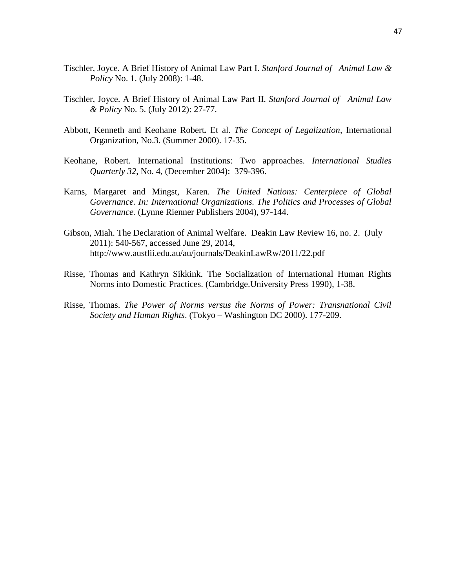- Tischler, Joyce. A Brief History of Animal Law Part I. *Stanford Journal of Animal Law & Policy* No. 1. (July 2008): 1-48.
- Tischler, Joyce. A Brief History of Animal Law Part II. *Stanford Journal of Animal Law & Policy* No. 5. (July 2012): 27-77.
- Abbott, Kenneth and Keohane Robert*.* Et al. *The Concept of Legalization,* International Organization, No.3. (Summer 2000). 17-35.
- Keohane, Robert. International Institutions: Two approaches. *International Studies Quarterly 32*, No. 4, (December 2004): 379-396.
- Karns, Margaret and Mingst, Karen. *The United Nations: Centerpiece of Global Governance. In: International Organizations. The Politics and Processes of Global Governance.* (Lynne Rienner Publishers 2004), 97-144.
- Gibson, Miah. The Declaration of Animal Welfare. Deakin Law Review 16, no. 2. (July 2011): 540-567, accessed June 29, 2014, <http://www.austlii.edu.au/au/journals/DeakinLawRw/2011/22.pdf>
- Risse, Thomas and Kathryn Sikkink. The Socialization of International Human Rights Norms into Domestic Practices. (Cambridge.University Press 1990), 1-38.
- Risse, Thomas. *The Power of Norms versus the Norms of Power: Transnational Civil Society and Human Rights*. (Tokyo – Washington DC 2000). 177-209.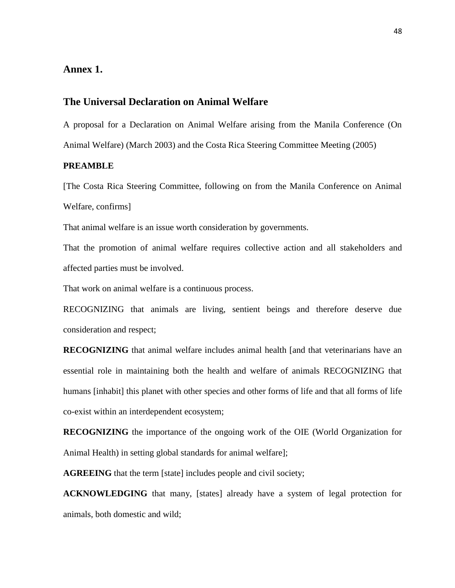# <span id="page-47-0"></span>**Annex 1.**

## **The Universal Declaration on Animal Welfare**

A proposal for a Declaration on Animal Welfare arising from the Manila Conference (On Animal Welfare) (March 2003) and the Costa Rica Steering Committee Meeting (2005)

#### **PREAMBLE**

[The Costa Rica Steering Committee, following on from the Manila Conference on Animal Welfare, confirms]

That animal welfare is an issue worth consideration by governments.

That the promotion of animal welfare requires collective action and all stakeholders and affected parties must be involved.

That work on animal welfare is a continuous process.

RECOGNIZING that animals are living, sentient beings and therefore deserve due consideration and respect;

**RECOGNIZING** that animal welfare includes animal health [and that veterinarians have an essential role in maintaining both the health and welfare of animals RECOGNIZING that humans [inhabit] this planet with other species and other forms of life and that all forms of life co-exist within an interdependent ecosystem;

**RECOGNIZING** the importance of the ongoing work of the OIE (World Organization for Animal Health) in setting global standards for animal welfare];

**AGREEING** that the term [state] includes people and civil society;

**ACKNOWLEDGING** that many, [states] already have a system of legal protection for animals, both domestic and wild;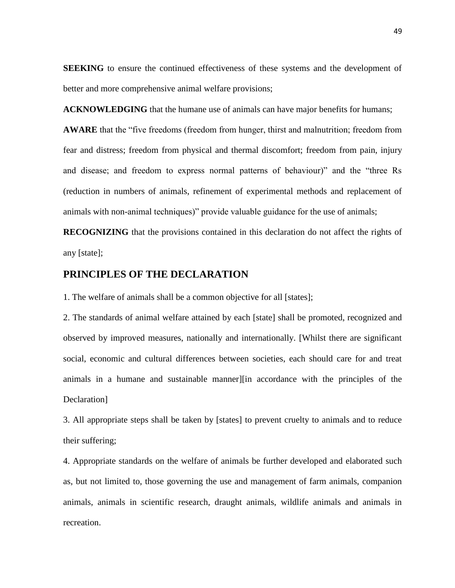**SEEKING** to ensure the continued effectiveness of these systems and the development of better and more comprehensive animal welfare provisions;

**ACKNOWLEDGING** that the humane use of animals can have major benefits for humans;

**AWARE** that the "five freedoms (freedom from hunger, thirst and malnutrition; freedom from fear and distress; freedom from physical and thermal discomfort; freedom from pain, injury and disease; and freedom to express normal patterns of behaviour)" and the "three Rs (reduction in numbers of animals, refinement of experimental methods and replacement of animals with non-animal techniques)" provide valuable guidance for the use of animals;

**RECOGNIZING** that the provisions contained in this declaration do not affect the rights of any [state];

## **PRINCIPLES OF THE DECLARATION**

1. The welfare of animals shall be a common objective for all [states];

2. The standards of animal welfare attained by each [state] shall be promoted, recognized and observed by improved measures, nationally and internationally. [Whilst there are significant social, economic and cultural differences between societies, each should care for and treat animals in a humane and sustainable manner][in accordance with the principles of the Declaration]

3. All appropriate steps shall be taken by [states] to prevent cruelty to animals and to reduce their suffering;

4. Appropriate standards on the welfare of animals be further developed and elaborated such as, but not limited to, those governing the use and management of farm animals, companion animals, animals in scientific research, draught animals, wildlife animals and animals in recreation.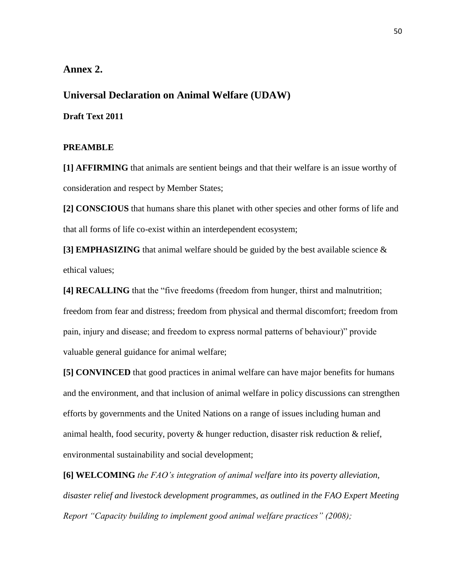## <span id="page-49-0"></span>**Annex 2.**

**Universal Declaration on Animal Welfare (UDAW)**

**Draft Text 2011**

# **PREAMBLE**

**[1] AFFIRMING** that animals are sentient beings and that their welfare is an issue worthy of consideration and respect by Member States;

**[2] CONSCIOUS** that humans share this planet with other species and other forms of life and that all forms of life co-exist within an interdependent ecosystem;

**[3] EMPHASIZING** that animal welfare should be guided by the best available science & ethical values;

**[4] RECALLING** that the "five freedoms (freedom from hunger, thirst and malnutrition; freedom from fear and distress; freedom from physical and thermal discomfort; freedom from pain, injury and disease; and freedom to express normal patterns of behaviour)" provide valuable general guidance for animal welfare;

**[5] CONVINCED** that good practices in animal welfare can have major benefits for humans and the environment, and that inclusion of animal welfare in policy discussions can strengthen efforts by governments and the United Nations on a range of issues including human and animal health, food security, poverty  $\&$  hunger reduction, disaster risk reduction  $\&$  relief, environmental sustainability and social development;

**[6] WELCOMING** *the FAO's integration of animal welfare into its poverty alleviation, disaster relief and livestock development programmes, as outlined in the FAO Expert Meeting Report "Capacity building to implement good animal welfare practices" (2008);*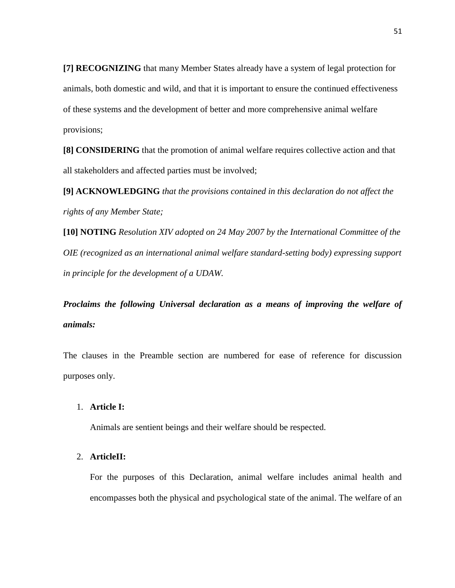**[7] RECOGNIZING** that many Member States already have a system of legal protection for animals, both domestic and wild, and that it is important to ensure the continued effectiveness of these systems and the development of better and more comprehensive animal welfare provisions;

**[8] CONSIDERING** that the promotion of animal welfare requires collective action and that all stakeholders and affected parties must be involved;

**[9] ACKNOWLEDGING** *that the provisions contained in this declaration do not affect the rights of any Member State;*

**[10] NOTING** *Resolution XIV adopted on 24 May 2007 by the International Committee of the OIE (recognized as an international animal welfare standard-setting body) expressing support in principle for the development of a UDAW.* 

*Proclaims the following Universal declaration as a means of improving the welfare of animals:*

The clauses in the Preamble section are numbered for ease of reference for discussion purposes only.

#### 1. **Article I:**

Animals are sentient beings and their welfare should be respected.

#### 2. **ArticleII:**

For the purposes of this Declaration, animal welfare includes animal health and encompasses both the physical and psychological state of the animal. The welfare of an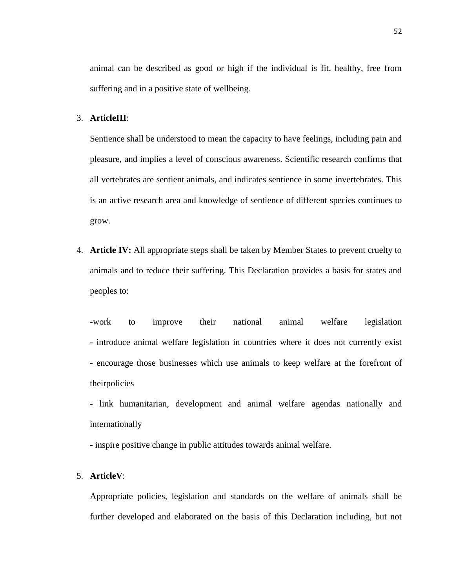animal can be described as good or high if the individual is fit, healthy, free from suffering and in a positive state of wellbeing.

#### 3. **ArticleIII**:

Sentience shall be understood to mean the capacity to have feelings, including pain and pleasure, and implies a level of conscious awareness. Scientific research confirms that all vertebrates are sentient animals, and indicates sentience in some invertebrates. This is an active research area and knowledge of sentience of different species continues to grow.

4. **Article IV:** All appropriate steps shall be taken by Member States to prevent cruelty to animals and to reduce their suffering. This Declaration provides a basis for states and peoples to:

-work to improve their national animal welfare legislation - introduce animal welfare legislation in countries where it does not currently exist - encourage those businesses which use animals to keep welfare at the forefront of theirpolicies

- link humanitarian, development and animal welfare agendas nationally and internationally
- inspire positive change in public attitudes towards animal welfare.

#### 5. **ArticleV**:

Appropriate policies, legislation and standards on the welfare of animals shall be further developed and elaborated on the basis of this Declaration including, but not